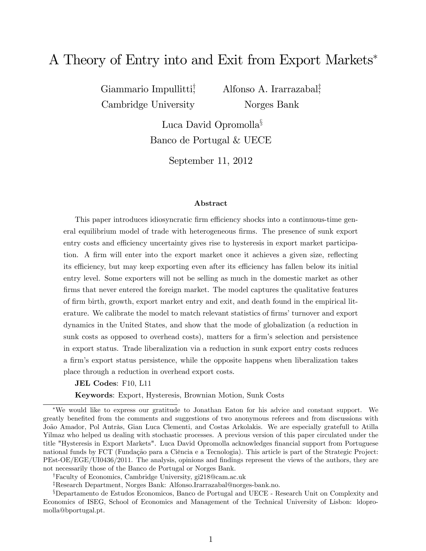# A Theory of Entry into and Exit from Export Markets

Giammario Impullitti<sup>†</sup> Cambridge University Alfonso A. Irarrazabal<sup>†</sup>, Norges Bank

Luca David Opromolla $\S$ Banco de Portugal & UECE

September 11, 2012

#### Abstract

This paper introduces idiosyncratic firm efficiency shocks into a continuous-time general equilibrium model of trade with heterogeneous firms. The presence of sunk export entry costs and efficiency uncertainty gives rise to hysteresis in export market participation. A firm will enter into the export market once it achieves a given size, reflecting its efficiency, but may keep exporting even after its efficiency has fallen below its initial entry level. Some exporters will not be selling as much in the domestic market as other firms that never entered the foreign market. The model captures the qualitative features of firm birth, growth, export market entry and exit, and death found in the empirical literature. We calibrate the model to match relevant statistics of firms' turnover and export dynamics in the United States, and show that the mode of globalization (a reduction in sunk costs as opposed to overhead costs), matters for a firm's selection and persistence in export status. Trade liberalization via a reduction in sunk export entry costs reduces a firm's export status persistence, while the opposite happens when liberalization takes place through a reduction in overhead export costs.

JEL Codes: F10, L11

Keywords: Export, Hysteresis, Brownian Motion, Sunk Costs

<sup>†</sup>Faculty of Economics, Cambridge University, gi218@cam.ac.uk

<sup>z</sup>Research Department, Norges Bank: Alfonso.Irarrazabal@norges-bank.no.

We would like to express our gratitude to Jonathan Eaton for his advice and constant support. We greatly benefited from the comments and suggestions of two anonymous referees and from discussions with João Amador, Pol Antràs, Gian Luca Clementi, and Costas Arkolakis. We are especially gratefull to Atilla Yilmaz who helped us dealing with stochastic processes. A previous version of this paper circulated under the title "Hysteresis in Export Markets". Luca David Opromolla acknowledges financial support from Portuguese national funds by FCT (Fundação para a Ciência e a Tecnologia). This article is part of the Strategic Project: PEst-OE/EGE/UI0436/2011. The analysis, opinions and findings represent the views of the authors, they are not necessarily those of the Banco de Portugal or Norges Bank.

<sup>x</sup>Departamento de Estudos Economicos, Banco de Portugal and UECE - Research Unit on Complexity and Economics of ISEG, School of Economics and Management of the Technical University of Lisbon: ldopromolla@bportugal.pt.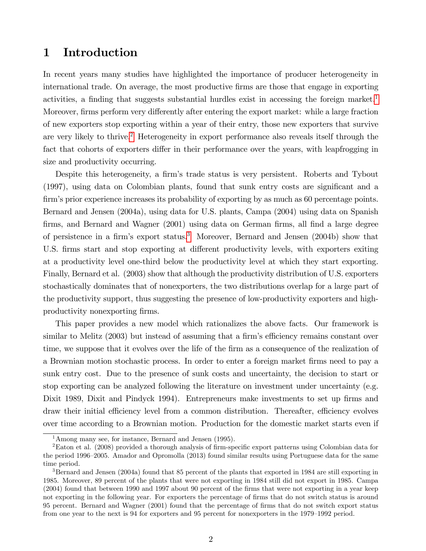## 1 Introduction

In recent years many studies have highlighted the importance of producer heterogeneity in international trade. On average, the most productive firms are those that engage in exporting activities, a finding that suggests substantial hurdles exist in accessing the foreign market.<sup>[1](#page-1-0)</sup> Moreover, firms perform very differently after entering the export market: while a large fraction of new exporters stop exporting within a year of their entry, those new exporters that survive are very likely to thrive.<sup>[2](#page-1-1)</sup> Heterogeneity in export performance also reveals itself through the fact that cohorts of exporters differ in their performance over the years, with leapfrogging in size and productivity occurring.

Despite this heterogeneity, a firm's trade status is very persistent. Roberts and Tybout (1997), using data on Colombian plants, found that sunk entry costs are significant and a firm's prior experience increases its probability of exporting by as much as 60 percentage points. Bernard and Jensen (2004a), using data for U.S. plants, Campa (2004) using data on Spanish firms, and Bernard and Wagner (2001) using data on German firms, all find a large degree of persistence in a firm's export status.<sup>[3](#page-1-2)</sup> Moreover, Bernard and Jensen  $(2004b)$  show that U.S. firms start and stop exporting at different productivity levels, with exporters exiting at a productivity level one-third below the productivity level at which they start exporting. Finally, Bernard et al. (2003) show that although the productivity distribution of U.S. exporters stochastically dominates that of nonexporters, the two distributions overlap for a large part of the productivity support, thus suggesting the presence of low-productivity exporters and highproductivity nonexporting firms.

This paper provides a new model which rationalizes the above facts. Our framework is similar to Melitz (2003) but instead of assuming that a firm's efficiency remains constant over time, we suppose that it evolves over the life of the firm as a consequence of the realization of a Brownian motion stochastic process. In order to enter a foreign market firms need to pay a sunk entry cost. Due to the presence of sunk costs and uncertainty, the decision to start or stop exporting can be analyzed following the literature on investment under uncertainty (e.g. Dixit 1989, Dixit and Pindyck 1994). Entrepreneurs make investments to set up firms and draw their initial efficiency level from a common distribution. Thereafter, efficiency evolves over time according to a Brownian motion. Production for the domestic market starts even if

<span id="page-1-1"></span><span id="page-1-0"></span><sup>&</sup>lt;sup>1</sup>Among many see, for instance, Bernard and Jensen (1995).

 $2$ Eaton et al. (2008) provided a thorough analysis of firm-specific export patterns using Colombian data for the period 1996–2005. Amador and Opromolla (2013) found similar results using Portuguese data for the same time period.

<span id="page-1-2"></span><sup>&</sup>lt;sup>3</sup>Bernard and Jensen (2004a) found that 85 percent of the plants that exported in 1984 are still exporting in 1985. Moreover, 89 percent of the plants that were not exporting in 1984 still did not export in 1985. Campa (2004) found that between 1990 and 1997 about 90 percent of the Örms that were not exporting in a year keep not exporting in the following year. For exporters the percentage of firms that do not switch status is around 95 percent. Bernard and Wagner (2001) found that the percentage of Örms that do not switch export status from one year to the next is 94 for exporters and 95 percent for nonexporters in the 1979–1992 period.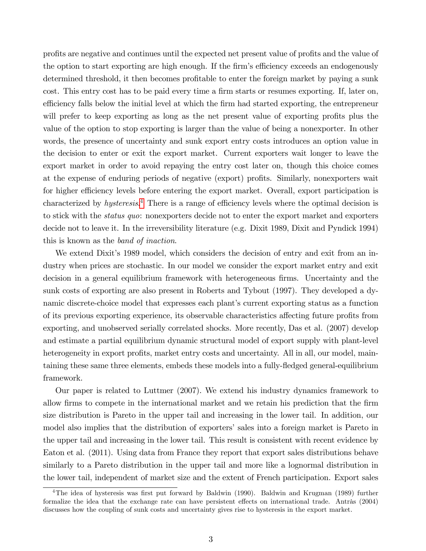profits are negative and continues until the expected net present value of profits and the value of the option to start exporting are high enough. If the firm's efficiency exceeds an endogenously determined threshold, it then becomes profitable to enter the foreign market by paying a sunk cost. This entry cost has to be paid every time a firm starts or resumes exporting. If, later on, efficiency falls below the initial level at which the firm had started exporting, the entrepreneur will prefer to keep exporting as long as the net present value of exporting profits plus the value of the option to stop exporting is larger than the value of being a nonexporter. In other words, the presence of uncertainty and sunk export entry costs introduces an option value in the decision to enter or exit the export market. Current exporters wait longer to leave the export market in order to avoid repaying the entry cost later on, though this choice comes at the expense of enduring periods of negative (export) profits. Similarly, nonexporters wait for higher efficiency levels before entering the export market. Overall, export participation is characterized by *hysteresis*.<sup>[4](#page-2-0)</sup> There is a range of efficiency levels where the optimal decision is to stick with the status quo: nonexporters decide not to enter the export market and exporters decide not to leave it. In the irreversibility literature (e.g. Dixit 1989, Dixit and Pyndick 1994) this is known as the band of inaction.

We extend Dixit's 1989 model, which considers the decision of entry and exit from an industry when prices are stochastic. In our model we consider the export market entry and exit decision in a general equilibrium framework with heterogeneous firms. Uncertainty and the sunk costs of exporting are also present in Roberts and Tybout (1997). They developed a dynamic discrete-choice model that expresses each plant's current exporting status as a function of its previous exporting experience, its observable characteristics affecting future profits from exporting, and unobserved serially correlated shocks. More recently, Das et al. (2007) develop and estimate a partial equilibrium dynamic structural model of export supply with plant-level heterogeneity in export profits, market entry costs and uncertainty. All in all, our model, maintaining these same three elements, embeds these models into a fully-fledged general-equilibrium framework.

Our paper is related to Luttmer (2007). We extend his industry dynamics framework to allow firms to compete in the international market and we retain his prediction that the firm size distribution is Pareto in the upper tail and increasing in the lower tail. In addition, our model also implies that the distribution of exporters' sales into a foreign market is Pareto in the upper tail and increasing in the lower tail. This result is consistent with recent evidence by Eaton et al. (2011). Using data from France they report that export sales distributions behave similarly to a Pareto distribution in the upper tail and more like a lognormal distribution in the lower tail, independent of market size and the extent of French participation. Export sales

<span id="page-2-0"></span><sup>&</sup>lt;sup>4</sup>The idea of hysteresis was first put forward by Baldwin (1990). Baldwin and Krugman (1989) further formalize the idea that the exchange rate can have persistent effects on international trade. Antràs (2004) discusses how the coupling of sunk costs and uncertainty gives rise to hysteresis in the export market.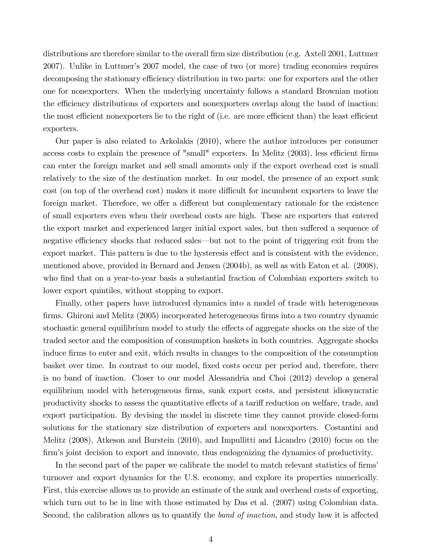distributions are therefore similar to the overall firm size distribution (e.g. Axtell 2001, Luttmer 2007). Unlike in Luttmerís 2007 model, the case of two (or more) trading economies requires decomposing the stationary efficiency distribution in two parts: one for exporters and the other one for nonexporters. When the underlying uncertainty follows a standard Brownian motion the efficiency distributions of exporters and nonexporters overlap along the band of inaction: the most efficient nonexporters lie to the right of (i.e. are more efficient than) the least efficient exporters.

Our paper is also related to Arkolakis (2010), where the author introduces per consumer access costs to explain the presence of "small" exporters. In Melitz  $(2003)$ , less efficient firms can enter the foreign market and sell small amounts only if the export overhead cost is small relatively to the size of the destination market. In our model, the presence of an export sunk cost (on top of the overhead cost) makes it more difficult for incumbent exporters to leave the foreign market. Therefore, we offer a different but complementary rationale for the existence of small exporters even when their overhead costs are high. These are exporters that entered the export market and experienced larger initial export sales, but then suffered a sequence of negative efficiency shocks that reduced sales—but not to the point of triggering exit from the export market. This pattern is due to the hysteresis effect and is consistent with the evidence, mentioned above, provided in Bernard and Jensen (2004b), as well as with Eaton et al. (2008), who find that on a year-to-year basis a substantial fraction of Colombian exporters switch to lower export quintiles, without stopping to export.

Finally, other papers have introduced dynamics into a model of trade with heterogeneous firms. Ghironi and Melitz (2005) incorporated heterogeneous firms into a two country dynamic stochastic general equilibrium model to study the effects of aggregate shocks on the size of the traded sector and the composition of consumption baskets in both countries. Aggregate shocks induce firms to enter and exit, which results in changes to the composition of the consumption basket over time. In contrast to our model, fixed costs occur per period and, therefore, there is no band of inaction. Closer to our model Alessandria and Choi (2012) develop a general equilibrium model with heterogeneous firms, sunk export costs, and persistent idiosyncratic productivity shocks to assess the quantitative effects of a tariff reduction on welfare, trade, and export participation. By devising the model in discrete time they cannot provide closed-form solutions for the stationary size distribution of exporters and nonexporters. Costantini and Melitz (2008), Atkeson and Burstein (2010), and Impullitti and Licandro (2010) focus on the firm's joint decision to export and innovate, thus endogenizing the dynamics of productivity.

In the second part of the paper we calibrate the model to match relevant statistics of firms' turnover and export dynamics for the U.S. economy, and explore its properties numerically. First, this exercise allows us to provide an estimate of the sunk and overhead costs of exporting, which turn out to be in line with those estimated by Das et al. (2007) using Colombian data. Second, the calibration allows us to quantify the band of inaction, and study how it is affected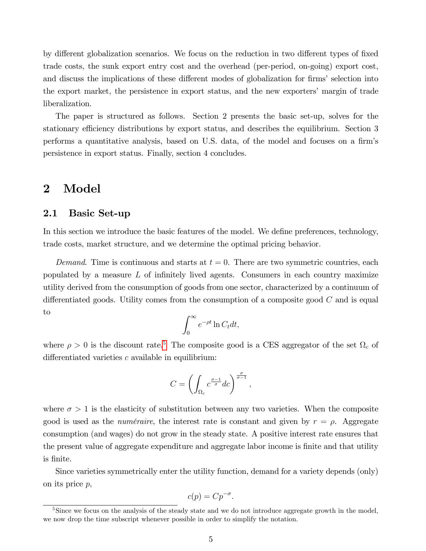by different globalization scenarios. We focus on the reduction in two different types of fixed trade costs, the sunk export entry cost and the overhead (per-period, on-going) export cost, and discuss the implications of these different modes of globalization for firms' selection into the export market, the persistence in export status, and the new exporters' margin of trade liberalization.

The paper is structured as follows. Section 2 presents the basic set-up, solves for the stationary efficiency distributions by export status, and describes the equilibrium. Section 3 performs a quantitative analysis, based on U.S. data, of the model and focuses on a firm's persistence in export status. Finally, section 4 concludes.

### 2 Model

### 2.1 Basic Set-up

In this section we introduce the basic features of the model. We define preferences, technology, trade costs, market structure, and we determine the optimal pricing behavior.

Demand. Time is continuous and starts at  $t = 0$ . There are two symmetric countries, each populated by a measure  $L$  of infinitely lived agents. Consumers in each country maximize utility derived from the consumption of goods from one sector, characterized by a continuum of differentiated goods. Utility comes from the consumption of a composite good  $C$  and is equal to

$$
\int_0^\infty e^{-\rho t} \ln C_t dt,
$$

where  $\rho > 0$  is the discount rate.<sup>[5](#page-4-0)</sup> The composite good is a CES aggregator of the set  $\Omega_c$  of differentiated varieties  $c$  available in equilibrium:

$$
C = \left(\int_{\Omega_c} c^{\frac{\sigma - 1}{\sigma}} dc\right)^{\frac{\sigma}{\sigma - 1}},
$$

where  $\sigma > 1$  is the elasticity of substitution between any two varieties. When the composite good is used as the *numéraire*, the interest rate is constant and given by  $r = \rho$ . Aggregate consumption (and wages) do not grow in the steady state. A positive interest rate ensures that the present value of aggregate expenditure and aggregate labor income is finite and that utility is finite.

Since varieties symmetrically enter the utility function, demand for a variety depends (only) on its price p,

$$
c(p) = Cp^{-\sigma}.
$$

<span id="page-4-0"></span><sup>&</sup>lt;sup>5</sup>Since we focus on the analysis of the steady state and we do not introduce aggregate growth in the model, we now drop the time subscript whenever possible in order to simplify the notation.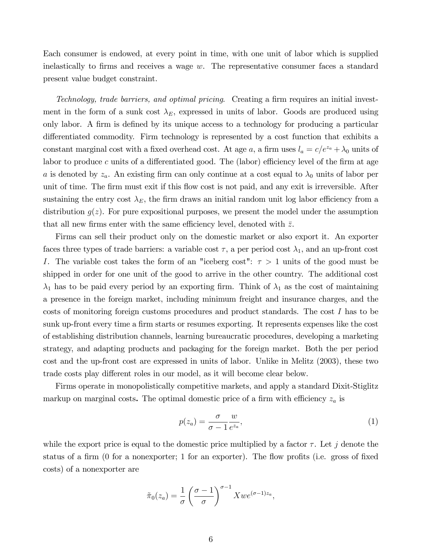Each consumer is endowed, at every point in time, with one unit of labor which is supplied inelastically to firms and receives a wage  $w$ . The representative consumer faces a standard present value budget constraint.

Technology, trade barriers, and optimal pricing. Creating a firm requires an initial investment in the form of a sunk cost  $\lambda_E$ , expressed in units of labor. Goods are produced using only labor. A firm is defined by its unique access to a technology for producing a particular differentiated commodity. Firm technology is represented by a cost function that exhibits a constant marginal cost with a fixed overhead cost. At age a, a firm uses  $l_a = c/e^{z_a} + \lambda_0$  units of labor to produce c units of a differentiated good. The (labor) efficiency level of the firm at age a is denoted by  $z_a$ . An existing firm can only continue at a cost equal to  $\lambda_0$  units of labor per unit of time. The firm must exit if this flow cost is not paid, and any exit is irreversible. After sustaining the entry cost  $\lambda_E$ , the firm draws an initial random unit log labor efficiency from a distribution  $g(z)$ . For pure expositional purposes, we present the model under the assumption that all new firms enter with the same efficiency level, denoted with  $\bar{z}$ .

Firms can sell their product only on the domestic market or also export it. An exporter faces three types of trade barriers: a variable cost  $\tau$ , a per period cost  $\lambda_1$ , and an up-front cost I. The variable cost takes the form of an "iceberg cost":  $\tau > 1$  units of the good must be shipped in order for one unit of the good to arrive in the other country. The additional cost  $\lambda_1$  has to be paid every period by an exporting firm. Think of  $\lambda_1$  as the cost of maintaining a presence in the foreign market, including minimum freight and insurance charges, and the costs of monitoring foreign customs procedures and product standards. The cost I has to be sunk up-front every time a firm starts or resumes exporting. It represents expenses like the cost of establishing distribution channels, learning bureaucratic procedures, developing a marketing strategy, and adapting products and packaging for the foreign market. Both the per period cost and the up-front cost are expressed in units of labor. Unlike in Melitz (2003), these two trade costs play different roles in our model, as it will become clear below.

Firms operate in monopolistically competitive markets, and apply a standard Dixit-Stiglitz markup on marginal costs. The optimal domestic price of a firm with efficiency  $z_a$  is

$$
p(z_a) = \frac{\sigma}{\sigma - 1} \frac{w}{e^{z_a}},\tag{1}
$$

while the export price is equal to the domestic price multiplied by a factor  $\tau$ . Let j denote the status of a firm  $(0 \text{ for a nonexporter}; 1 \text{ for an explorer})$ . The flow profits (i.e. gross of fixed costs) of a nonexporter are

$$
\tilde{\pi}_0(z_a) = \frac{1}{\sigma} \left( \frac{\sigma - 1}{\sigma} \right)^{\sigma - 1} Xwe^{(\sigma - 1)z_a},
$$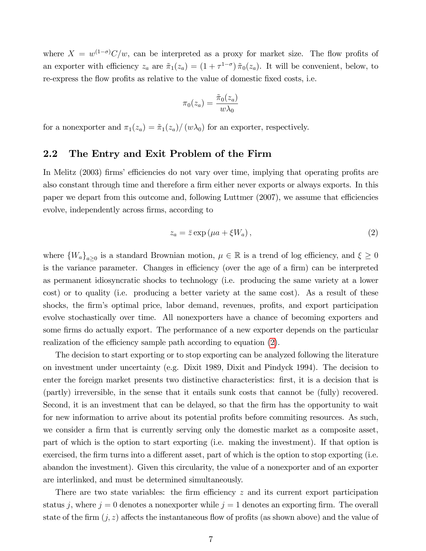where  $X = w^{(1-\sigma)}C/w$ , can be interpreted as a proxy for market size. The flow profits of an exporter with efficiency  $z_a$  are  $\tilde{\pi}_1(z_a) = (1 + \tau^{1-\sigma}) \tilde{\pi}_0(z_a)$ . It will be convenient, below, to re-express the flow profits as relative to the value of domestic fixed costs, i.e.

$$
\pi_0(z_a) = \frac{\tilde{\pi}_0(z_a)}{w\lambda_0}
$$

for a nonexporter and  $\pi_1(z_a) = \tilde{\pi}_1(z_a)/(w\lambda_0)$  for an exporter, respectively.

### <span id="page-6-1"></span>2.2 The Entry and Exit Problem of the Firm

In Melitz (2003) firms' efficiencies do not vary over time, implying that operating profits are also constant through time and therefore a firm either never exports or always exports. In this paper we depart from this outcome and, following Luttmer  $(2007)$ , we assume that efficiencies evolve, independently across firms, according to

<span id="page-6-0"></span>
$$
z_a = \bar{z} \exp\left(\mu a + \xi W_a\right),\tag{2}
$$

where  $\{W_a\}_{a\geq 0}$  is a standard Brownian motion,  $\mu \in \mathbb{R}$  is a trend of log efficiency, and  $\xi \geq 0$ is the variance parameter. Changes in efficiency (over the age of a firm) can be interpreted as permanent idiosyncratic shocks to technology (i.e. producing the same variety at a lower cost) or to quality (i.e. producing a better variety at the same cost). As a result of these shocks, the firm's optimal price, labor demand, revenues, profits, and export participation evolve stochastically over time. All nonexporters have a chance of becoming exporters and some firms do actually export. The performance of a new exporter depends on the particular realization of the efficiency sample path according to equation  $(2)$ .

The decision to start exporting or to stop exporting can be analyzed following the literature on investment under uncertainty (e.g. Dixit 1989, Dixit and Pindyck 1994). The decision to enter the foreign market presents two distinctive characteristics: Örst, it is a decision that is (partly) irreversible, in the sense that it entails sunk costs that cannot be (fully) recovered. Second, it is an investment that can be delayed, so that the firm has the opportunity to wait for new information to arrive about its potential profits before commiting resources. As such, we consider a firm that is currently serving only the domestic market as a composite asset, part of which is the option to start exporting (i.e. making the investment). If that option is exercised, the firm turns into a different asset, part of which is the option to stop exporting (i.e. abandon the investment). Given this circularity, the value of a nonexporter and of an exporter are interlinked, and must be determined simultaneously.

There are two state variables: the firm efficiency  $z$  and its current export participation status j, where  $j = 0$  denotes a nonexporter while  $j = 1$  denotes an exporting firm. The overall state of the firm  $(j, z)$  affects the instantaneous flow of profits (as shown above) and the value of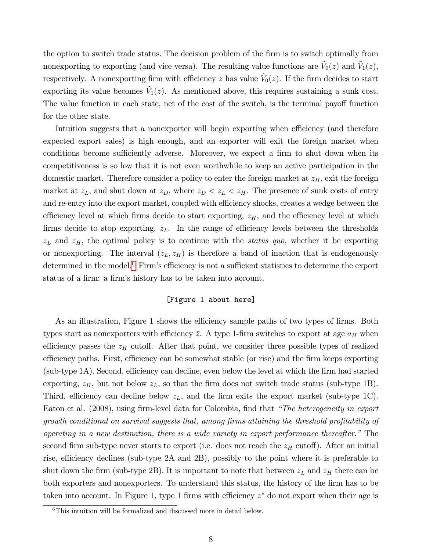the option to switch trade status. The decision problem of the firm is to switch optimally from nonexporting to exporting (and vice versa). The resulting value functions are  $\tilde{V}_0(z)$  and  $\tilde{V}_1(z)$ , respectively. A nonexporting firm with efficiency z has value  $\tilde{V}_0(z)$ . If the firm decides to start exporting its value becomes  $\tilde{V}_1(z)$ . As mentioned above, this requires sustaining a sunk cost. The value function in each state, net of the cost of the switch, is the terminal payoff function for the other state.

Intuition suggests that a nonexporter will begin exporting when efficiency (and therefore expected export sales) is high enough, and an exporter will exit the foreign market when conditions become sufficiently adverse. Moreover, we expect a firm to shut down when its competitiveness is so low that it is not even worthwhile to keep an active participation in the domestic market. Therefore consider a policy to enter the foreign market at  $z_H$ , exit the foreign market at  $z_L$ , and shut down at  $z_D$ , where  $z_D < z_L < z_H$ . The presence of sunk costs of entry and re-entry into the export market, coupled with efficiency shocks, creates a wedge between the efficiency level at which firms decide to start exporting,  $z_H$ , and the efficiency level at which firms decide to stop exporting,  $z_L$ . In the range of efficiency levels between the thresholds  $z_L$  and  $z_H$ , the optimal policy is to continue with the status quo, whether it be exporting or nonexporting. The interval  $(z_L, z_H)$  is therefore a band of inaction that is endogenously determined in the model. $6$  Firm's efficiency is not a sufficient statistics to determine the export status of a firm: a firm's history has to be taken into account.

#### [Figure 1 about here]

As an illustration, Figure 1 shows the efficiency sample paths of two types of firms. Both types start as nonexporters with efficiency  $\bar{z}$ . A type 1-firm switches to export at age  $a_H$  when efficiency passes the  $z_H$  cutoff. After that point, we consider three possible types of realized efficiency paths. First, efficiency can be somewhat stable (or rise) and the firm keeps exporting  $(\text{sub-type }1\text{A})$ . Second, efficiency can decline, even below the level at which the firm had started exporting,  $z_H$ , but not below  $z_L$ , so that the firm does not switch trade status (sub-type 1B). Third, efficiency can decline below  $z<sub>L</sub>$ , and the firm exits the export market (sub-type 1C). Eaton et al. (2008), using firm-level data for Colombia, find that "The heterogeneity in export growth conditional on survival suggests that, among firms attaining the threshold profitability of operating in a new destination, there is a wide variety in export performance thereafter." The second firm sub-type never starts to export (i.e. does not reach the  $z_H$  cutoff). After an initial rise, efficiency declines (sub-type 2A and 2B), possibly to the point where it is preferable to shut down the firm (sub-type 2B). It is important to note that between  $z_L$  and  $z_H$  there can be both exporters and nonexporters. To understand this status, the history of the firm has to be taken into account. In Figure 1, type 1 firms with efficiency  $z^*$  do not export when their age is

<span id="page-7-0"></span> $6$ This intuition will be formalized and discussed more in detail below.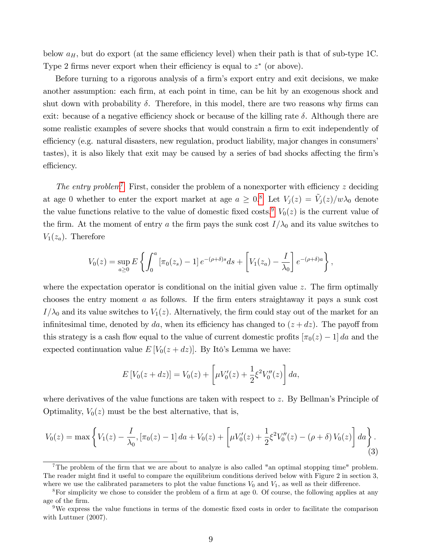below  $a_H$ , but do export (at the same efficiency level) when their path is that of sub-type 1C. Type 2 firms never export when their efficiency is equal to  $z^*$  (or above).

Before turning to a rigorous analysis of a firm's export entry and exit decisions, we make another assumption: each firm, at each point in time, can be hit by an exogenous shock and shut down with probability  $\delta$ . Therefore, in this model, there are two reasons why firms can exit: because of a negative efficiency shock or because of the killing rate  $\delta$ . Although there are some realistic examples of severe shocks that would constrain a firm to exit independently of efficiency (e.g. natural disasters, new regulation, product liability, major changes in consumers' tastes), it is also likely that exit may be caused by a series of bad shocks affecting the firm's efficiency.

The entry problem<sup>[7](#page-8-0)</sup> First, consider the problem of a nonexporter with efficiency z deciding at age 0 whether to enter the export market at age  $a \geq 0.8$  $a \geq 0.8$  Let  $V_j(z) = \tilde{V}_j(z)/w\lambda_0$  denote the value functions relative to the value of domestic fixed costs.<sup>[9](#page-8-2)</sup>  $V_0(z)$  is the current value of the firm. At the moment of entry a the firm pays the sunk cost  $I/\lambda_0$  and its value switches to  $V_1(z_a)$ . Therefore

$$
V_0(z) = \sup_{a \ge 0} E\left\{ \int_0^a \left[ \pi_0(z_s) - 1 \right] e^{-(\rho + \delta)s} ds + \left[ V_1(z_a) - \frac{I}{\lambda_0} \right] e^{-(\rho + \delta)a} \right\},
$$

where the expectation operator is conditional on the initial given value  $z$ . The firm optimally chooses the entry moment  $a$  as follows. If the firm enters straightaway it pays a sunk cost  $I/\lambda_0$  and its value switches to  $V_1(z)$ . Alternatively, the firm could stay out of the market for an infinitesimal time, denoted by da, when its efficiency has changed to  $(z + dz)$ . The payoff from this strategy is a cash flow equal to the value of current domestic profits  $|\pi_0(z) - 1|$  da and the expected continuation value  $E[V_0(z+dz)]$ . By Itô's Lemma we have:

$$
E[V_0(z+dz)] = V_0(z) + \left[\mu V'_0(z) + \frac{1}{2}\xi^2 V''_0(z)\right] da,
$$

where derivatives of the value functions are taken with respect to  $z$ . By Bellman's Principle of Optimality,  $V_0(z)$  must be the best alternative, that is,

<span id="page-8-3"></span>
$$
V_0(z) = \max \left\{ V_1(z) - \frac{I}{\lambda_0}, \left[ \pi_0(z) - 1 \right] da + V_0(z) + \left[ \mu V_0'(z) + \frac{1}{2} \xi^2 V_0''(z) - (\rho + \delta) V_0(z) \right] da \right\}.
$$
\n(3)

<span id="page-8-0"></span><sup>&</sup>lt;sup>7</sup>The problem of the firm that we are about to analyze is also called "an optimal stopping time" problem. The reader might find it useful to compare the equilibrium conditions derived below with Figure 2 in section 3, where we use the calibrated parameters to plot the value functions  $V_0$  and  $V_1$ , as well as their difference.

<span id="page-8-1"></span><sup>&</sup>lt;sup>8</sup>For simplicity we chose to consider the problem of a firm at age 0. Of course, the following applies at any age of the firm.

<span id="page-8-2"></span> $9$ We express the value functions in terms of the domestic fixed costs in order to facilitate the comparison with Luttmer (2007).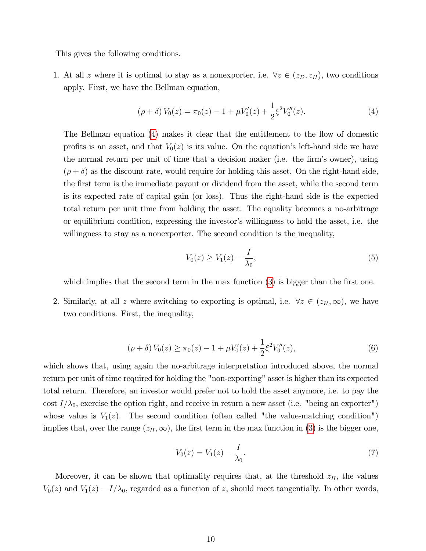This gives the following conditions.

1. At all z where it is optimal to stay as a nonexporter, i.e.  $\forall z \in (z_D, z_H)$ , two conditions apply. First, we have the Bellman equation,

<span id="page-9-0"></span>
$$
(\rho + \delta) V_0(z) = \pi_0(z) - 1 + \mu V'_0(z) + \frac{1}{2} \xi^2 V''_0(z).
$$
 (4)

The Bellman equation [\(4\)](#page-9-0) makes it clear that the entitlement to the flow of domestic profits is an asset, and that  $V_0(z)$  is its value. On the equation's left-hand side we have the normal return per unit of time that a decision maker (i.e. the firm's owner), using  $(\rho + \delta)$  as the discount rate, would require for holding this asset. On the right-hand side, the first term is the immediate payout or dividend from the asset, while the second term is its expected rate of capital gain (or loss). Thus the right-hand side is the expected total return per unit time from holding the asset. The equality becomes a no-arbitrage or equilibrium condition, expressing the investor's willingness to hold the asset, i.e. the willingness to stay as a nonexporter. The second condition is the inequality,

$$
V_0(z) \ge V_1(z) - \frac{I}{\lambda_0},\tag{5}
$$

which implies that the second term in the max function  $(3)$  is bigger than the first one.

2. Similarly, at all z where switching to exporting is optimal, i.e.  $\forall z \in (z_H,\infty)$ , we have two conditions. First, the inequality,

$$
(\rho + \delta) V_0(z) \ge \pi_0(z) - 1 + \mu V'_0(z) + \frac{1}{2} \xi^2 V''_0(z), \tag{6}
$$

which shows that, using again the no-arbitrage interpretation introduced above, the normal return per unit of time required for holding the "non-exporting" asset is higher than its expected total return. Therefore, an investor would prefer not to hold the asset anymore, i.e. to pay the cost  $I/\lambda_0$ , exercise the option right, and receive in return a new asset (i.e. "being an exporter") whose value is  $V_1(z)$ . The second condition (often called "the value-matching condition") implies that, over the range  $(z_H,\infty)$ , the first term in the max function in [\(3\)](#page-8-3) is the bigger one,

<span id="page-9-1"></span>
$$
V_0(z) = V_1(z) - \frac{I}{\lambda_0}.\tag{7}
$$

Moreover, it can be shown that optimality requires that, at the threshold  $z_H$ , the values  $V_0(z)$  and  $V_1(z) - I/\lambda_0$ , regarded as a function of z, should meet tangentially. In other words,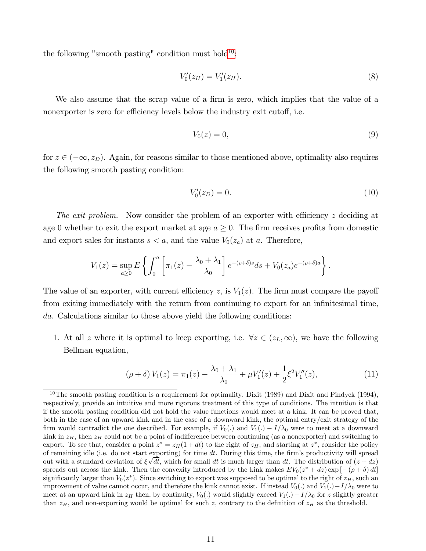the following "smooth pasting" condition must hold<sup>[10](#page-10-0)</sup>:

<span id="page-10-3"></span>
$$
V_0'(z_H) = V_1'(z_H). \tag{8}
$$

We also assume that the scrap value of a firm is zero, which implies that the value of a nonexporter is zero for efficiency levels below the industry exit cutoff, i.e.

<span id="page-10-2"></span>
$$
V_0(z) = 0,\t\t(9)
$$

for  $z \in (-\infty, z_D)$ . Again, for reasons similar to those mentioned above, optimality also requires the following smooth pasting condition:

<span id="page-10-4"></span>
$$
V_0'(z_D) = 0.\t\t(10)
$$

The exit problem. Now consider the problem of an exporter with efficiency  $z$  deciding at age 0 whether to exit the export market at age  $a \geq 0$ . The firm receives profits from domestic and export sales for instants  $s < a$ , and the value  $V_0(z_a)$  at a. Therefore,

$$
V_1(z) = \sup_{a \ge 0} E \left\{ \int_0^a \left[ \pi_1(z) - \frac{\lambda_0 + \lambda_1}{\lambda_0} \right] e^{-(\rho + \delta)s} ds + V_0(z_a) e^{-(\rho + \delta)a} \right\}.
$$

The value of an exporter, with current efficiency z, is  $V_1(z)$ . The firm must compare the payoff from exiting immediately with the return from continuing to export for an infinitesimal time, da. Calculations similar to those above yield the following conditions:

1. At all z where it is optimal to keep exporting, i.e.  $\forall z \in (z_L,\infty)$ , we have the following Bellman equation,

<span id="page-10-1"></span>
$$
(\rho + \delta) V_1(z) = \pi_1(z) - \frac{\lambda_0 + \lambda_1}{\lambda_0} + \mu V_1'(z) + \frac{1}{2} \xi^2 V_1''(z), \tag{11}
$$

<span id="page-10-0"></span><sup>&</sup>lt;sup>10</sup>The smooth pasting condition is a requirement for optimality. Dixit (1989) and Dixit and Pindyck (1994), respectively, provide an intuitive and more rigorous treatment of this type of conditions. The intuition is that if the smooth pasting condition did not hold the value functions would meet at a kink. It can be proved that, both in the case of an upward kink and in the case of a downward kink, the optimal entry/exit strategy of the firm would contradict the one described. For example, if  $V_0(.)$  and  $V_1(.) - I/\lambda_0$  were to meet at a downward kink in  $z_H$ , then  $z_H$  could not be a point of indifference between continuing (as a nonexporter) and switching to export. To see that, consider a point  $z^* = z_H(1+dt)$  to the right of  $z_H$ , and starting at  $z^*$ , consider the policy of remaining idle (i.e. do not start exporting) for time dt. During this time, the firm's productivity will spread out with a standard deviation of  $\xi \sqrt{dt}$ , which for small dt is much larger than dt. The distribution of  $(z + dz)$ spreads out across the kink. Then the convexity introduced by the kink makes  $EV_0(z^* + dz) \exp[-(\rho + \delta) dt]$ significantly larger than  $V_0(z^*)$ . Since switching to export was supposed to be optimal to the right of  $z_H$ , such an improvement of value cannot occur, and therefore the kink cannot exist. If instead  $V_0(.)$  and  $V_1(.) - I/\lambda_0$  were to meet at an upward kink in  $z_H$  then, by continuity,  $V_0(.)$  would slightly exceed  $V_1(.) - I/\lambda_0$  for z slightly greater than  $z_H$ , and non-exporting would be optimal for such z, contrary to the definition of  $z_H$  as the threshold.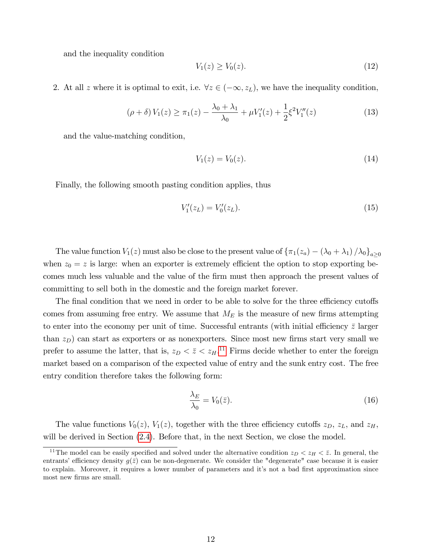and the inequality condition

<span id="page-11-4"></span>
$$
V_1(z) \ge V_0(z). \tag{12}
$$

2. At all z where it is optimal to exit, i.e.  $\forall z \in (-\infty, z_L)$ , we have the inequality condition,

$$
(\rho + \delta) V_1(z) \ge \pi_1(z) - \frac{\lambda_0 + \lambda_1}{\lambda_0} + \mu V_1'(z) + \frac{1}{2} \xi^2 V_1''(z)
$$
 (13)

and the value-matching condition,

<span id="page-11-1"></span>
$$
V_1(z) = V_0(z). \t\t(14)
$$

Finally, the following smooth pasting condition applies, thus

<span id="page-11-2"></span>
$$
V_1'(z_L) = V_0'(z_L). \tag{15}
$$

The value function  $V_1(z)$  must also be close to the present value of  $\{\pi_1(z_a) - (\lambda_0 + \lambda_1)/\lambda_0\}_{a>0}$ when  $z_0 = z$  is large: when an exporter is extremely efficient the option to stop exporting becomes much less valuable and the value of the Örm must then approach the present values of committing to sell both in the domestic and the foreign market forever.

The final condition that we need in order to be able to solve for the three efficiency cutoffs comes from assuming free entry. We assume that  $M_E$  is the measure of new firms attempting to enter into the economy per unit of time. Successful entrants (with initial efficiency  $\bar{z}$  larger than  $z_D$ ) can start as exporters or as nonexporters. Since most new firms start very small we prefer to assume the latter, that is,  $z_D < \bar{z} < z_H$ .<sup>[11](#page-11-0)</sup> Firms decide whether to enter the foreign market based on a comparison of the expected value of entry and the sunk entry cost. The free entry condition therefore takes the following form:

<span id="page-11-3"></span>
$$
\frac{\lambda_E}{\lambda_0} = V_0(\bar{z}).\tag{16}
$$

The value functions  $V_0(z)$ ,  $V_1(z)$ , together with the three efficiency cutoffs  $z_D$ ,  $z_L$ , and  $z_H$ , will be derived in Section  $(2.4)$ . Before that, in the next Section, we close the model.

<span id="page-11-0"></span><sup>&</sup>lt;sup>11</sup>The model can be easily specified and solved under the alternative condition  $z_D < z_H < \bar{z}$ . In general, the entrants' efficiency density  $g(\bar{z})$  can be non-degenerate. We consider the "degenerate" case because it is easier to explain. Moreover, it requires a lower number of parameters and it's not a bad first approximation since most new firms are small.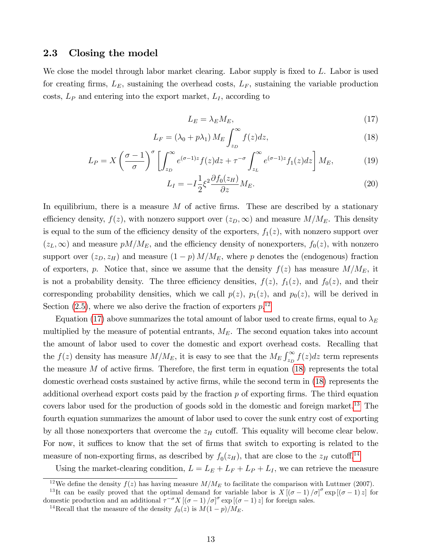### 2.3 Closing the model

We close the model through labor market clearing. Labor supply is fixed to  $L$ . Labor is used for creating firms,  $L_E$ , sustaining the overhead costs,  $L_F$ , sustaining the variable production costs,  $L_P$  and entering into the export market,  $L_I$ , according to

<span id="page-12-5"></span><span id="page-12-2"></span><span id="page-12-1"></span>
$$
L_E = \lambda_E M_E, \tag{17}
$$

$$
L_F = (\lambda_0 + p\lambda_1) M_E \int_{z_D}^{\infty} f(z) dz,
$$
\n(18)

$$
L_P = X \left(\frac{\sigma - 1}{\sigma}\right)^{\sigma} \left[ \int_{z_D}^{\infty} e^{(\sigma - 1)z} f(z) dz + \tau^{-\sigma} \int_{z_L}^{\infty} e^{(\sigma - 1)z} f_1(z) dz \right] M_E,
$$
(19)

$$
L_I = -I\frac{1}{2}\xi^2 \frac{\partial f_0(z_H)}{\partial z} M_E.
$$
\n(20)

In equilibrium, there is a measure  $M$  of active firms. These are described by a stationary efficiency density,  $f(z)$ , with nonzero support over  $(z_D,\infty)$  and measure  $M/M_E$ . This density is equal to the sum of the efficiency density of the exporters,  $f_1(z)$ , with nonzero support over  $(z_L,\infty)$  and measure  $pM/M_E$ , and the efficiency density of nonexporters,  $f_0(z)$ , with nonzero support over  $(z_D, z_H)$  and measure  $(1 - p) M/M_E$ , where p denotes the (endogenous) fraction of exporters, p. Notice that, since we assume that the density  $f(z)$  has measure  $M/M<sub>E</sub>$ , it is not a probability density. The three efficiency densities,  $f(z)$ ,  $f_1(z)$ , and  $f_0(z)$ , and their corresponding probability densities, which we call  $p(z)$ ,  $p_1(z)$ , and  $p_0(z)$ , will be derived in Section [\(2.5\)](#page-15-0), where we also derive the fraction of exporters  $p^{12}$  $p^{12}$  $p^{12}$ .

Equation [\(17\)](#page-12-1) above summarizes the total amount of labor used to create firms, equal to  $\lambda_E$ multiplied by the measure of potential entrants,  $M_E$ . The second equation takes into account the amount of labor used to cover the domestic and export overhead costs. Recalling that the  $f(z)$  density has measure  $M/M_E$ , it is easy to see that the  $M_E \int_{z_D}^{\infty} f(z)dz$  term represents the measure  $M$  of active firms. Therefore, the first term in equation [\(18\)](#page-12-2) represents the total domestic overhead costs sustained by active firms, while the second term in [\(18\)](#page-12-2) represents the additional overhead export costs paid by the fraction  $p$  of exporting firms. The third equation covers labor used for the production of goods sold in the domestic and foreign market.<sup>[13](#page-12-3)</sup> The fourth equation summarizes the amount of labor used to cover the sunk entry cost of exporting by all those nonexporters that overcome the  $z_H$  cutoff. This equality will become clear below. For now, it suffices to know that the set of firms that switch to exporting is related to the measure of non-exporting firms, as described by  $f_0(z_H)$ , that are close to the  $z_H$  cutoff.<sup>[14](#page-12-4)</sup>

Using the market-clearing condition,  $L = L_E + L_F + L_I$ , we can retrieve the measure

<span id="page-12-3"></span><span id="page-12-0"></span><sup>&</sup>lt;sup>12</sup>We define the density  $f(z)$  has having measure  $M/M_E$  to facilitate the comparison with Luttmer (2007).

<sup>&</sup>lt;sup>13</sup>It can be easily proved that the optimal demand for variable labor is  $X[(\sigma-1)/\sigma]^{\sigma}$  exp $[(\sigma-1)z]$  for domestic production and an additional  $\tau^{-\sigma} X \left[ (\sigma - 1) / \sigma \right]^\sigma \exp \left[ (\sigma - 1) z \right]$  for foreign sales.

<span id="page-12-4"></span><sup>&</sup>lt;sup>14</sup>Recall that the measure of the density  $f_0(z)$  is  $M(1-p)/M_E$ .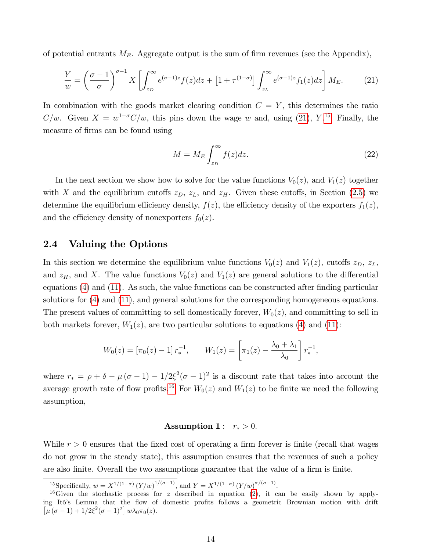of potential entrants  $M_E$ . Aggregate output is the sum of firm revenues (see the Appendix),

<span id="page-13-1"></span>
$$
\frac{Y}{w} = \left(\frac{\sigma - 1}{\sigma}\right)^{\sigma - 1} X \left[ \int_{z_D}^{\infty} e^{(\sigma - 1)z} f(z) dz + \left[1 + \tau^{(1 - \sigma)}\right] \int_{z_L}^{\infty} e^{(\sigma - 1)z} f_1(z) dz \right] M_E.
$$
 (21)

In combination with the goods market clearing condition  $C = Y$ , this determines the ratio  $C/w$ . Given  $X = w^{1-\sigma}C/w$ , this pins down the wage w and, using [\(21\)](#page-13-1),  $Y^{15}$  $Y^{15}$  $Y^{15}$ . Finally, the measure of firms can be found using

$$
M = M_E \int_{z_D}^{\infty} f(z) dz.
$$
 (22)

In the next section we show how to solve for the value functions  $V_0(z)$ , and  $V_1(z)$  together with X and the equilibrium cutoffs  $z_D$ ,  $z_L$ , and  $z_H$ . Given these cutoffs, in Section [\(2.5\)](#page-15-0) we determine the equilibrium efficiency density,  $f(z)$ , the efficiency density of the exporters  $f_1(z)$ , and the efficiency density of nonexporters  $f_0(z)$ .

### <span id="page-13-0"></span>2.4 Valuing the Options

In this section we determine the equilibrium value functions  $V_0(z)$  and  $V_1(z)$ , cutoffs  $z_D$ ,  $z_L$ , and  $z_H$ , and X. The value functions  $V_0(z)$  and  $V_1(z)$  are general solutions to the differential equations  $(4)$  and  $(11)$ . As such, the value functions can be constructed after finding particular solutions for [\(4\)](#page-9-0) and [\(11\)](#page-10-1), and general solutions for the corresponding homogeneous equations. The present values of committing to sell domestically forever,  $W_0(z)$ , and committing to sell in both markets forever,  $W_1(z)$ , are two particular solutions to equations [\(4\)](#page-9-0) and [\(11\)](#page-10-1):

$$
W_0(z) = [\pi_0(z) - 1] r_*^{-1}, \qquad W_1(z) = \left[ \pi_1(z) - \frac{\lambda_0 + \lambda_1}{\lambda_0} \right] r_*^{-1},
$$

where  $r_* = \rho + \delta - \mu (\sigma - 1) - 1/2 \xi^2 (\sigma - 1)^2$  is a discount rate that takes into account the average growth rate of flow profits.<sup>[16](#page-13-3)</sup> For  $W_0(z)$  and  $W_1(z)$  to be finite we need the following assumption,

#### Assumption 1 :  $r_* > 0$ .

While  $r > 0$  ensures that the fixed cost of operating a firm forever is finite (recall that wages do not grow in the steady state), this assumption ensures that the revenues of such a policy are also finite. Overall the two assumptions guarantee that the value of a firm is finite.

<span id="page-13-3"></span><span id="page-13-2"></span><sup>&</sup>lt;sup>15</sup>Specifically,  $w = X^{1/(1-\sigma)} (Y/w)^{1/(\sigma-1)}$ , and  $Y = X^{1/(1-\sigma)} (Y/w)^{\sigma/(\sigma-1)}$ .

<sup>&</sup>lt;sup>16</sup>Given the stochastic process for z described in equation [\(2\)](#page-6-0), it can be easily shown by applying Itô's Lemma that the flow of domestic profits follows a geometric Brownian motion with drift  $[\mu(\sigma - 1) + 1/2\xi^2(\sigma - 1)^2] w\lambda_0\pi_0(z).$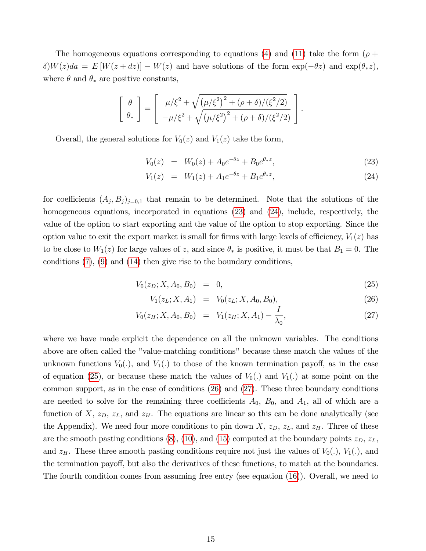The homogeneous equations corresponding to equations [\(4\)](#page-9-0) and [\(11\)](#page-10-1) take the form ( $\rho$  +  $\delta W(z)da = E[W(z+dz)] - W(z)$  and have solutions of the form  $\exp(-\theta z)$  and  $\exp(\theta *z)$ , where  $\theta$  and  $\theta_*$  are positive constants,

$$
\begin{bmatrix} \theta \\ \theta_* \end{bmatrix} = \begin{bmatrix} \mu/\xi^2 + \sqrt{(\mu/\xi^2)^2 + (\rho + \delta)/(\xi^2/2)} \\ -\mu/\xi^2 + \sqrt{(\mu/\xi^2)^2 + (\rho + \delta)/(\xi^2/2)} \end{bmatrix}.
$$

Overall, the general solutions for  $V_0(z)$  and  $V_1(z)$  take the form,

$$
V_0(z) = W_0(z) + A_0 e^{-\theta z} + B_0 e^{\theta * z}, \tag{23}
$$

<span id="page-14-0"></span>
$$
V_1(z) = W_1(z) + A_1 e^{-\theta z} + B_1 e^{\theta * z}, \qquad (24)
$$

for coefficients  $(A_j, B_j)_{j=0,1}$  that remain to be determined. Note that the solutions of the homogeneous equations, incorporated in equations [\(23\)](#page-14-0) and [\(24\)](#page-14-0), include, respectively, the value of the option to start exporting and the value of the option to stop exporting. Since the option value to exit the export market is small for firms with large levels of efficiency,  $V_1(z)$  has to be close to  $W_1(z)$  for large values of z, and since  $\theta_*$  is positive, it must be that  $B_1 = 0$ . The conditions [\(7\)](#page-9-1), [\(9\)](#page-10-2) and [\(14\)](#page-11-1) then give rise to the boundary conditions,

<span id="page-14-1"></span>
$$
V_0(z_D; X, A_0, B_0) = 0, \t\t(25)
$$

$$
V_1(z_L; X, A_1) = V_0(z_L; X, A_0, B_0), \qquad (26)
$$

$$
V_0(z_H; X, A_0, B_0) = V_1(z_H; X, A_1) - \frac{I}{\lambda_0}, \qquad (27)
$$

where we have made explicit the dependence on all the unknown variables. The conditions above are often called the "value-matching conditions" because these match the values of the unknown functions  $V_0(.)$ , and  $V_1(.)$  to those of the known termination payoff, as in the case of equation [\(25\)](#page-14-1), or because these match the values of  $V_0(.)$  and  $V_1(.)$  at some point on the common support, as in the case of conditions [\(26\)](#page-14-1) and [\(27\)](#page-14-1). These three boundary conditions are needed to solve for the remaining three coefficients  $A_0$ ,  $B_0$ , and  $A_1$ , all of which are a function of X,  $z_D$ ,  $z_L$ , and  $z_H$ . The equations are linear so this can be done analytically (see the Appendix). We need four more conditions to pin down  $X$ ,  $z_D$ ,  $z_L$ , and  $z_H$ . Three of these are the smooth pasting conditions [\(8\)](#page-10-3), [\(10\)](#page-10-4), and [\(15\)](#page-11-2) computed at the boundary points  $z_D$ ,  $z_L$ , and  $z_H$ . These three smooth pasting conditions require not just the values of  $V_0(.)$ ,  $V_1(.)$ , and the termination payoff, but also the derivatives of these functions, to match at the boundaries. The fourth condition comes from assuming free entry (see equation [\(16\)](#page-11-3)). Overall, we need to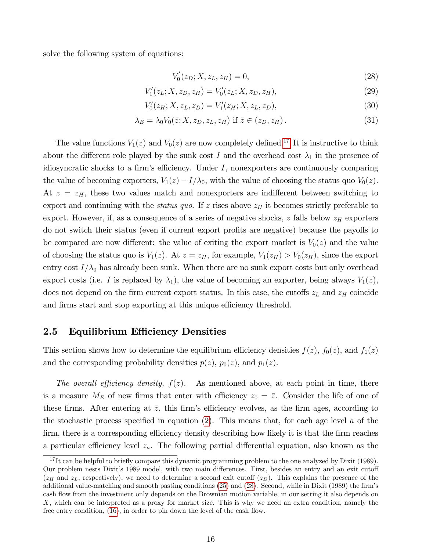solve the following system of equations:

<span id="page-15-5"></span><span id="page-15-4"></span><span id="page-15-3"></span><span id="page-15-2"></span>
$$
V_0'(z_D; X, z_L, z_H) = 0,\t\t(28)
$$

$$
V_1'(z_L; X, z_D, z_H) = V_0'(z_L; X, z_D, z_H),\tag{29}
$$

$$
V_0'(z_H; X, z_L, z_D) = V_1'(z_H; X, z_L, z_D),\tag{30}
$$

$$
\lambda_E = \lambda_0 V_0(\bar{z}; X, z_D, z_L, z_H) \text{ if } \bar{z} \in (z_D, z_H). \tag{31}
$$

The value functions  $V_1(z)$  and  $V_0(z)$  are now completely defined.<sup>[17](#page-15-1)</sup> It is instructive to think about the different role played by the sunk cost I and the overhead cost  $\lambda_1$  in the presence of idiosyncratic shocks to a firm's efficiency. Under  $I$ , nonexporters are continuously comparing the value of becoming exporters,  $V_1(z) - I/\lambda_0$ , with the value of choosing the status quo  $V_0(z)$ . At  $z = z_H$ , these two values match and nonexporters are indifferent between switching to export and continuing with the *status quo*. If z rises above  $z_H$  it becomes strictly preferable to export. However, if, as a consequence of a series of negative shocks, z falls below  $z_H$  exporters do not switch their status (even if current export profits are negative) because the payoffs to be compared are now different: the value of exiting the export market is  $V_0(z)$  and the value of choosing the status quo is  $V_1(z)$ . At  $z = z_H$ , for example,  $V_1(z_H) > V_0(z_H)$ , since the export entry cost  $I/\lambda_0$  has already been sunk. When there are no sunk export costs but only overhead export costs (i.e. I is replaced by  $\lambda_1$ ), the value of becoming an exporter, being always  $V_1(z)$ , does not depend on the firm current export status. In this case, the cutoffs  $z<sub>L</sub>$  and  $z<sub>H</sub>$  coincide and firms start and stop exporting at this unique efficiency threshold.

### <span id="page-15-0"></span>2.5 Equilibrium Efficiency Densities

This section shows how to determine the equilibrium efficiency densities  $f(z)$ ,  $f_0(z)$ , and  $f_1(z)$ and the corresponding probability densities  $p(z)$ ,  $p_0(z)$ , and  $p_1(z)$ .

The overall efficiency density,  $f(z)$ . As mentioned above, at each point in time, there is a measure  $M_E$  of new firms that enter with efficiency  $z_0 = \overline{z}$ . Consider the life of one of these firms. After entering at  $\bar{z}$ , this firm's efficiency evolves, as the firm ages, according to the stochastic process specified in equation  $(2)$ . This means that, for each age level a of the firm, there is a corresponding efficiency density describing how likely it is that the firm reaches a particular efficiency level  $z_a$ . The following partial differential equation, also known as the

<span id="page-15-1"></span> $17$  It can be helpful to briefly compare this dynamic programming problem to the one analyzed by Dixit (1989). Our problem nests Dixit's 1989 model, with two main differences. First, besides an entry and an exit cutoff  $(z_H$  and  $z_L$ , respectively), we need to determine a second exit cutoff  $(z_D)$ . This explains the presence of the additional value-matching and smooth pasting conditions  $(25)$  and  $(28)$ . Second, while in Dixit  $(1989)$  the firm's cash áow from the investment only depends on the Brownian motion variable, in our setting it also depends on X, which can be interpreted as a proxy for market size. This is why we need an extra condition, namely the free entry condition,  $(16)$ , in order to pin down the level of the cash flow.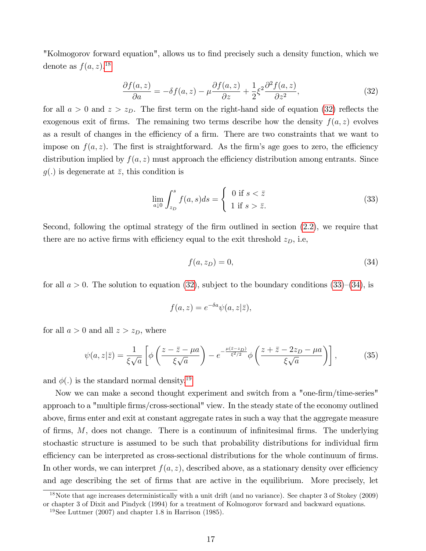"Kolmogorov forward equation", allows us to Önd precisely such a density function, which we denote as  $f(a, z)$ .<sup>[18](#page-16-0)</sup>

<span id="page-16-1"></span>
$$
\frac{\partial f(a,z)}{\partial a} = -\delta f(a,z) - \mu \frac{\partial f(a,z)}{\partial z} + \frac{1}{2} \xi^2 \frac{\partial^2 f(a,z)}{\partial z^2},\tag{32}
$$

for all  $a > 0$  and  $z > z_D$ . The first term on the right-hand side of equation [\(32\)](#page-16-1) reflects the exogenous exit of firms. The remaining two terms describe how the density  $f(a, z)$  evolves as a result of changes in the efficiency of a firm. There are two constraints that we want to impose on  $f(a, z)$ . The first is straightforward. As the firm's age goes to zero, the efficiency distribution implied by  $f(a, z)$  must approach the efficiency distribution among entrants. Since  $g(.)$  is degenerate at  $\overline{z}$ , this condition is

<span id="page-16-2"></span>
$$
\lim_{a\downarrow 0} \int_{z_D}^s f(a,s)ds = \begin{cases} 0 \text{ if } s < \bar{z} \\ 1 \text{ if } s > \bar{z}. \end{cases}
$$
 (33)

Second, following the optimal strategy of the firm outlined in section  $(2.2)$ , we require that there are no active firms with efficiency equal to the exit threshold  $z_D$ , i.e,

<span id="page-16-3"></span>
$$
f(a, z_D) = 0,\t\t(34)
$$

for all  $a > 0$ . The solution to equation [\(32\)](#page-16-1), subject to the boundary conditions [\(33\)](#page-16-2)–[\(34\)](#page-16-3), is

$$
f(a, z) = e^{-\delta a} \psi(a, z | \bar{z}),
$$

for all  $a > 0$  and all  $z > z_D$ , where

$$
\psi(a,z|\bar{z}) = \frac{1}{\xi\sqrt{a}} \left[ \phi\left(\frac{z-\bar{z}-\mu a}{\xi\sqrt{a}}\right) - e^{-\frac{\mu(z-z_D)}{\xi^2/2}} \phi\left(\frac{z+\bar{z}-2z_D-\mu a}{\xi\sqrt{a}}\right) \right],\tag{35}
$$

and  $\phi(.)$  is the standard normal density.<sup>[19](#page-16-4)</sup>

Now we can make a second thought experiment and switch from a "one-firm/time-series" approach to a "multiple firms/cross-sectional" view. In the steady state of the economy outlined above, firms enter and exit at constant aggregate rates in such a way that the aggregate measure of firms,  $M$ , does not change. There is a continuum of infinitesimal firms. The underlying stochastic structure is assumed to be such that probability distributions for individual firm efficiency can be interpreted as cross-sectional distributions for the whole continuum of firms. In other words, we can interpret  $f(a, z)$ , described above, as a stationary density over efficiency and age describing the set of firms that are active in the equilibrium. More precisely, let

<span id="page-16-0"></span><sup>&</sup>lt;sup>18</sup>Note that age increases deterministically with a unit drift (and no variance). See chapter 3 of Stokey (2009) or chapter 3 of Dixit and Pindyck (1994) for a treatment of Kolmogorov forward and backward equations.

<span id="page-16-4"></span><sup>&</sup>lt;sup>19</sup>See Luttmer (2007) and chapter 1.8 in Harrison (1985).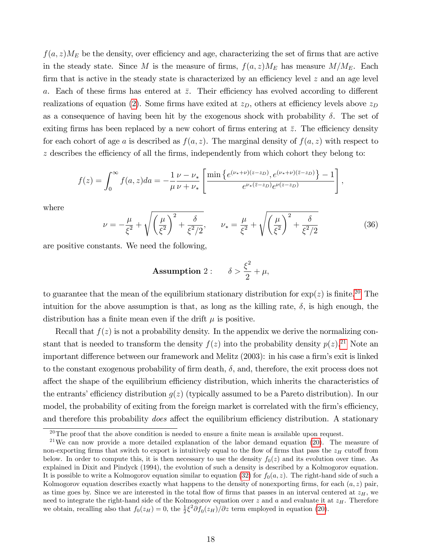$f(a, z)M_E$  be the density, over efficiency and age, characterizing the set of firms that are active in the steady state. Since M is the measure of firms,  $f(a, z)M_E$  has measure  $M/M_E$ . Each firm that is active in the steady state is characterized by an efficiency level  $z$  and an age level a. Each of these firms has entered at  $\bar{z}$ . Their efficiency has evolved according to different realizations of equation [\(2\)](#page-6-0). Some firms have exited at  $z<sub>D</sub>$ , others at efficiency levels above  $z<sub>D</sub>$ as a consequence of having been hit by the exogenous shock with probability  $\delta$ . The set of exiting firms has been replaced by a new cohort of firms entering at  $\bar{z}$ . The efficiency density for each cohort of age a is described as  $f(a, z)$ . The marginal density of  $f(a, z)$  with respect to  $z$  describes the efficiency of all the firms, independently from which cohort they belong to:

$$
f(z) = \int_0^\infty f(a, z) da = -\frac{1}{\mu} \frac{\nu - \nu_*}{\nu + \nu_*} \left[ \frac{\min \left\{ e^{(\nu_* + \nu)(z - z_D)}, e^{(\nu_* + \nu)(\bar{z} - z_D)} \right\} - 1}{e^{\nu_* (\bar{z} - z_D)} e^{\nu(z - z_D)}} \right],
$$

where

<span id="page-17-2"></span>
$$
\nu = -\frac{\mu}{\xi^2} + \sqrt{\left(\frac{\mu}{\xi^2}\right)^2 + \frac{\delta}{\xi^2/2}}, \qquad \nu_* = \frac{\mu}{\xi^2} + \sqrt{\left(\frac{\mu}{\xi^2}\right)^2 + \frac{\delta}{\xi^2/2}}
$$
(36)

are positive constants. We need the following,

**Assumption 2:** 
$$
\delta > \frac{\xi^2}{2} + \mu
$$
,

to guarantee that the mean of the equilibrium stationary distribution for  $\exp(z)$  is finite.<sup>[20](#page-17-0)</sup> The intuition for the above assumption is that, as long as the killing rate,  $\delta$ , is high enough, the distribution has a finite mean even if the drift  $\mu$  is positive.

Recall that  $f(z)$  is not a probability density. In the appendix we derive the normalizing constant that is needed to transform the density  $f(z)$  into the probability density  $p(z)$ .<sup>[21](#page-17-1)</sup> Note an important difference between our framework and Melitz (2003): in his case a firm's exit is linked to the constant exogenous probability of firm death,  $\delta$ , and, therefore, the exit process does not affect the shape of the equilibrium efficiency distribution, which inherits the characteristics of the entrants' efficiency distribution  $g(z)$  (typically assumed to be a Pareto distribution). In our model, the probability of exiting from the foreign market is correlated with the firm's efficiency, and therefore this probability *does* affect the equilibrium efficiency distribution. A stationary

<span id="page-17-1"></span><span id="page-17-0"></span> $20$ The proof that the above condition is needed to ensure a finite mean is available upon request.

<sup>&</sup>lt;sup>21</sup>We can now provide a more detailed explanation of the labor demand equation  $(20)$ . The measure of non-exporting firms that switch to export is intuitively equal to the flow of firms that pass the  $z_H$  cutoff from below. In order to compute this, it is then necessary to use the density  $f_0(z)$  and its evolution over time. As explained in Dixit and Pindyck (1994), the evolution of such a density is described by a Kolmogorov equation. It is possible to write a Kolmogorov equation similar to equation [\(32\)](#page-16-1) for  $f_0(a, z)$ . The right-hand side of such a Kolmogorov equation describes exactly what happens to the density of nonexporting firms, for each  $(a, z)$  pair, as time goes by. Since we are interested in the total flow of firms that passes in an interval centered at  $z_H$ , we need to integrate the right-hand side of the Kolmogorov equation over z and a and evaluate it at  $z_H$ . Therefore we obtain, recalling also that  $f_0(z_H) = 0$ , the  $\frac{1}{2}\xi^2 \partial f_0(z_H)/\partial z$  term employed in equation [\(20\)](#page-12-5).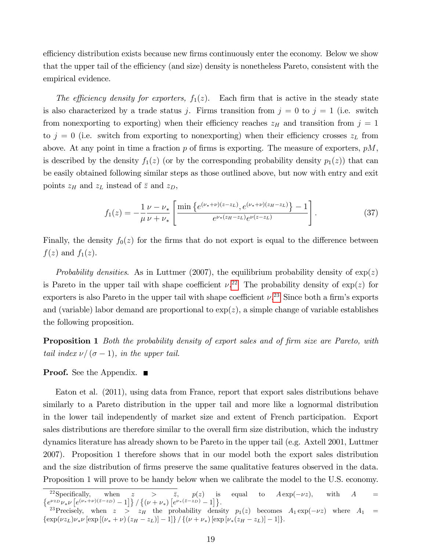efficiency distribution exists because new firms continuously enter the economy. Below we show that the upper tail of the efficiency (and size) density is nonetheless Pareto, consistent with the empirical evidence.

The efficiency density for exporters,  $f_1(z)$ . Each firm that is active in the steady state is also characterized by a trade status j. Firms transition from  $j = 0$  to  $j = 1$  (i.e. switch from nonexporting to exporting) when their efficiency reaches  $z_H$  and transition from  $j = 1$ to  $j = 0$  (i.e. switch from exporting to nonexporting) when their efficiency crosses  $z<sub>L</sub>$  from above. At any point in time a fraction  $p$  of firms is exporting. The measure of exporters,  $pM$ , is described by the density  $f_1(z)$  (or by the corresponding probability density  $p_1(z)$ ) that can be easily obtained following similar steps as those outlined above, but now with entry and exit points  $z_H$  and  $z_L$  instead of  $\bar{z}$  and  $z_D$ ,

$$
f_1(z) = -\frac{1}{\mu} \frac{\nu - \nu_*}{\nu + \nu_*} \left[ \frac{\min \left\{ e^{(\nu_* + \nu)(z - z_L)}, e^{(\nu_* + \nu)(z_H - z_L)} \right\} - 1}{e^{\nu_* (z_H - z_L)} e^{\nu(z - z_L)}} \right]. \tag{37}
$$

Finally, the density  $f_0(z)$  for the firms that do not export is equal to the difference between  $f(z)$  and  $f_1(z)$ .

Probability densities. As in Luttmer (2007), the equilibrium probability density of  $\exp(z)$ is Pareto in the upper tail with shape coefficient  $\nu^{22}$  $\nu^{22}$  $\nu^{22}$ . The probability density of exp(z) for exporters is also Pareto in the upper tail with shape coefficient  $\nu$ .<sup>[23](#page-18-1)</sup> Since both a firm's exports and (variable) labor demand are proportional to  $\exp(z)$ , a simple change of variable establishes the following proposition.

**Proposition 1** Both the probability density of export sales and of firm size are Pareto, with tail index  $\nu / (\sigma - 1)$ , in the upper tail.

#### **Proof.** See the Appendix. ■

Eaton et al. (2011), using data from France, report that export sales distributions behave similarly to a Pareto distribution in the upper tail and more like a lognormal distribution in the lower tail independently of market size and extent of French participation. Export sales distributions are therefore similar to the overall firm size distribution, which the industry dynamics literature has already shown to be Pareto in the upper tail (e.g. Axtell 2001, Luttmer 2007). Proposition 1 therefore shows that in our model both the export sales distribution and the size distribution of firms preserve the same qualitative features observed in the data. Proposition 1 will prove to be handy below when we calibrate the model to the U.S. economy.

<span id="page-18-0"></span><sup>&</sup>lt;sup>22</sup>Specifically, when  $z > \bar{z}$ ,  $p(z)$  is equal to  $A \exp(-\nu z)$ , with  $A = \{e^{\nu z_D} \nu_* \nu \left[e^{(\nu_* + \nu)(\bar{z} - z_D)} - 1\right] \} / \left\{ (\nu + \nu_*) \left[e^{\nu_* (\bar{z} - z_D)} - 1\right] \right\}$ .

<span id="page-18-1"></span><sup>&</sup>lt;sup>23</sup>Precisely, when  $z > z_H$  the probability density  $p_1(z)$  becomes  $A_1 \exp(-\nu z)$  where  $A_1 =$  $\left\{ \exp(\nu z_L) \nu_* \nu \left[ \exp\left[ (\nu_* + \nu) \left( z_H - z_L \right) \right] - 1 \right] \right\} / \left\{ (\nu + \nu_*) \left[ \exp\left[ \nu_* (z_H - z_L) \right] - 1 \right] \right\}.$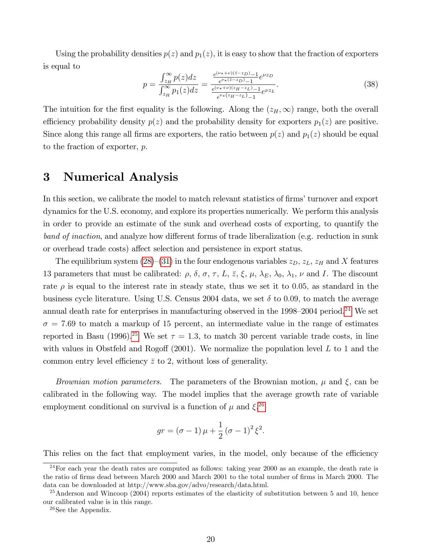Using the probability densities  $p(z)$  and  $p_1(z)$ , it is easy to show that the fraction of exporters is equal to

<span id="page-19-3"></span>
$$
p = \frac{\int_{z_H}^{\infty} p(z)dz}{\int_{z_H}^{\infty} p_1(z)dz} = \frac{\frac{e^{(\nu_* + \nu)(\bar{z} - z_D) - 1}}{e^{\nu_*(\bar{z} - z_D) - 1}} e^{\nu z_D}}{\frac{e^{(\nu_* + \nu)(z_H - z_L) - 1}}{e^{\nu_*(\bar{z}_H - z_L) - 1}} e^{\nu z_L}}.
$$
(38)

The intuition for the first equality is the following. Along the  $(z_H,\infty)$  range, both the overall efficiency probability density  $p(z)$  and the probability density for exporters  $p_1(z)$  are positive. Since along this range all firms are exporters, the ratio between  $p(z)$  and  $p_1(z)$  should be equal to the fraction of exporter, p.

## 3 Numerical Analysis

In this section, we calibrate the model to match relevant statistics of firms' turnover and export dynamics for the U.S. economy, and explore its properties numerically. We perform this analysis in order to provide an estimate of the sunk and overhead costs of exporting, to quantify the band of inaction, and analyze how different forms of trade liberalization (e.g. reduction in sunk or overhead trade costs) affect selection and persistence in export status.

The equilibrium system  $(28)–(31)$  $(28)–(31)$  in the four endogenous variables  $z_D, z_L, z_H$  and X features 13 parameters that must be calibrated:  $\rho$ ,  $\delta$ ,  $\sigma$ ,  $\tau$ ,  $L$ ,  $\bar{z}$ ,  $\xi$ ,  $\mu$ ,  $\lambda_E$ ,  $\lambda_0$ ,  $\lambda_1$ ,  $\nu$  and I. The discount rate  $\rho$  is equal to the interest rate in steady state, thus we set it to 0.05, as standard in the business cycle literature. Using U.S. Census 2004 data, we set  $\delta$  to 0.09, to match the average annual death rate for enterprises in manufacturing observed in the  $1998-2004$  period.<sup>[24](#page-19-0)</sup> We set  $\sigma = 7.69$  to match a markup of 15 percent, an intermediate value in the range of estimates reported in Basu (1996).<sup>[25](#page-19-1)</sup> We set  $\tau = 1.3$ , to match 30 percent variable trade costs, in line with values in Obstfeld and Rogoff  $(2001)$ . We normalize the population level L to 1 and the common entry level efficiency  $\bar{z}$  to 2, without loss of generality.

*Brownian motion parameters.* The parameters of the Brownian motion,  $\mu$  and  $\xi$ , can be calibrated in the following way. The model implies that the average growth rate of variable employment conditional on survival is a function of  $\mu$  and  $\xi$ ,<sup>[26](#page-19-2)</sup>,

$$
gr = (\sigma - 1)\,\mu + \frac{1}{2}(\sigma - 1)^2\,\xi^2.
$$

This relies on the fact that employment varies, in the model, only because of the efficiency

<span id="page-19-2"></span><sup>26</sup>See the Appendix.

<span id="page-19-0"></span> $\frac{24}{24}$ For each year the death rates are computed as follows: taking year 2000 as an example, the death rate is the ratio of firms dead between March 2000 and March 2001 to the total number of firms in March 2000. The data can be downloaded at http://www.sba.gov/advo/research/data.html.

<span id="page-19-1"></span> $25$ Anderson and Wincoop (2004) reports estimates of the elasticity of substitution between 5 and 10, hence our calibrated value is in this range.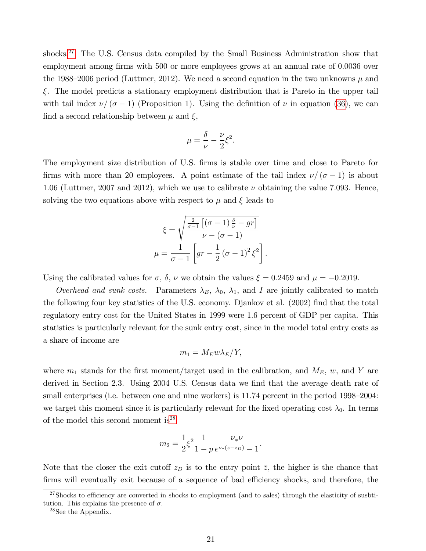shocks.<sup>[27](#page-20-0)</sup> The U.S. Census data compiled by the Small Business Administration show that employment among firms with 500 or more employees grows at an annual rate of 0.0036 over the 1988–2006 period (Luttmer, 2012). We need a second equation in the two unknowns  $\mu$  and  $\xi$ . The model predicts a stationary employment distribution that is Pareto in the upper tail with tail index  $\nu/(\sigma - 1)$  (Proposition 1). Using the definition of  $\nu$  in equation [\(36\)](#page-17-2), we can find a second relationship between  $\mu$  and  $\xi$ ,

$$
\mu = \frac{\delta}{\nu} - \frac{\nu}{2}\xi^2.
$$

The employment size distribution of U.S. firms is stable over time and close to Pareto for firms with more than 20 employees. A point estimate of the tail index  $\nu/(\sigma - 1)$  is about 1.06 (Luttmer, 2007 and 2012), which we use to calibrate  $\nu$  obtaining the value 7.093. Hence, solving the two equations above with respect to  $\mu$  and  $\xi$  leads to

$$
\xi = \sqrt{\frac{\frac{2}{\sigma - 1} \left[ (\sigma - 1) \frac{\delta}{\nu} - gr \right]}{\nu - (\sigma - 1)}}
$$

$$
\mu = \frac{1}{\sigma - 1} \left[ gr - \frac{1}{2} (\sigma - 1)^2 \xi^2 \right].
$$

Using the calibrated values for  $\sigma$ ,  $\delta$ ,  $\nu$  we obtain the values  $\xi = 0.2459$  and  $\mu = -0.2019$ .

Overhead and sunk costs. Parameters  $\lambda_E$ ,  $\lambda_0$ ,  $\lambda_1$ , and I are jointly calibrated to match the following four key statistics of the U.S. economy. Djankov et al. (2002) find that the total regulatory entry cost for the United States in 1999 were 1:6 percent of GDP per capita. This statistics is particularly relevant for the sunk entry cost, since in the model total entry costs as a share of income are

$$
m_1 = M_E w \lambda_E / Y,
$$

where  $m_1$  stands for the first moment/target used in the calibration, and  $M_E$ , w, and Y are derived in Section 2.3. Using 2004 U.S. Census data we find that the average death rate of small enterprises (i.e. between one and nine workers) is  $11.74$  percent in the period  $1998-2004$ : we target this moment since it is particularly relevant for the fixed operating cost  $\lambda_0$ . In terms of the model this second moment is<sup>[28](#page-20-1)</sup>

$$
m_2 = \frac{1}{2} \xi^2 \frac{1}{1 - p} \frac{\nu_* \nu}{e^{\nu_* (\bar{z} - z_D)} - 1}.
$$

Note that the closer the exit cutoff  $z_D$  is to the entry point  $\bar{z}$ , the higher is the chance that firms will eventually exit because of a sequence of bad efficiency shocks, and therefore, the

<span id="page-20-0"></span> $^{27}$ Shocks to efficiency are converted in shocks to employment (and to sales) through the elasticity of susbtitution. This explains the presence of  $\sigma$ .

<span id="page-20-1"></span><sup>28</sup>See the Appendix.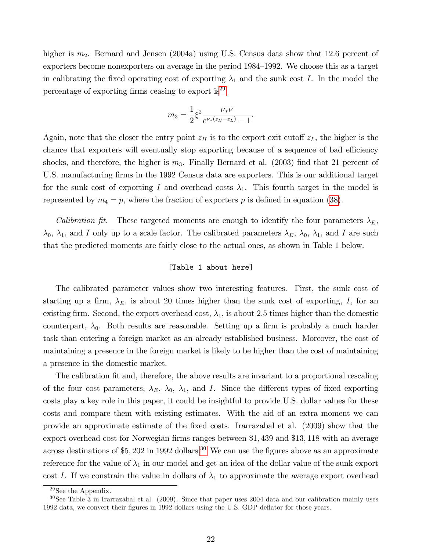higher is  $m_2$ . Bernard and Jensen (2004a) using U.S. Census data show that 12.6 percent of exporters become nonexporters on average in the period 1984–1992. We choose this as a target in calibrating the fixed operating cost of exporting  $\lambda_1$  and the sunk cost I. In the model the percentage of exporting firms ceasing to export is  $2^9$ 

$$
m_3 = \frac{1}{2} \xi^2 \frac{\nu_* \nu}{e^{\nu_* (z_H - z_L)} - 1}.
$$

Again, note that the closer the entry point  $z_H$  is to the export exit cutoff  $z_L$ , the higher is the chance that exporters will eventually stop exporting because of a sequence of bad efficiency shocks, and therefore, the higher is  $m_3$ . Finally Bernard et al. (2003) find that 21 percent of U.S. manufacturing firms in the 1992 Census data are exporters. This is our additional target for the sunk cost of exporting I and overhead costs  $\lambda_1$ . This fourth target in the model is represented by  $m_4 = p$ , where the fraction of exporters p is defined in equation [\(38\)](#page-19-3).

*Calibration fit.* These targeted moments are enough to identify the four parameters  $\lambda_E$ ,  $\lambda_0$ ,  $\lambda_1$ , and I only up to a scale factor. The calibrated parameters  $\lambda_E$ ,  $\lambda_0$ ,  $\lambda_1$ , and I are such that the predicted moments are fairly close to the actual ones, as shown in Table 1 below.

#### [Table 1 about here]

The calibrated parameter values show two interesting features. First, the sunk cost of starting up a firm,  $\lambda_E$ , is about 20 times higher than the sunk cost of exporting, I, for an existing firm. Second, the export overhead cost,  $\lambda_1$ , is about 2.5 times higher than the domestic counterpart,  $\lambda_0$ . Both results are reasonable. Setting up a firm is probably a much harder task than entering a foreign market as an already established business. Moreover, the cost of maintaining a presence in the foreign market is likely to be higher than the cost of maintaining a presence in the domestic market.

The calibration fit and, therefore, the above results are invariant to a proportional rescaling of the four cost parameters,  $\lambda_E$ ,  $\lambda_0$ ,  $\lambda_1$ , and I. Since the different types of fixed exporting costs play a key role in this paper, it could be insightful to provide U.S. dollar values for these costs and compare them with existing estimates. With the aid of an extra moment we can provide an approximate estimate of the Öxed costs. Irarrazabal et al. (2009) show that the export overhead cost for Norwegian firms ranges between \$1,439 and \$13,118 with an average across destinations of \$5, 202 in 1992 dollars.<sup>[30](#page-21-1)</sup> We can use the figures above as an approximate reference for the value of  $\lambda_1$  in our model and get an idea of the dollar value of the sunk export cost I. If we constrain the value in dollars of  $\lambda_1$  to approximate the average export overhead

<span id="page-21-1"></span><span id="page-21-0"></span><sup>29</sup>See the Appendix.

 $30$ See Table 3 in Irarrazabal et al. (2009). Since that paper uses 2004 data and our calibration mainly uses 1992 data, we convert their figures in 1992 dollars using the U.S. GDP deflator for those years.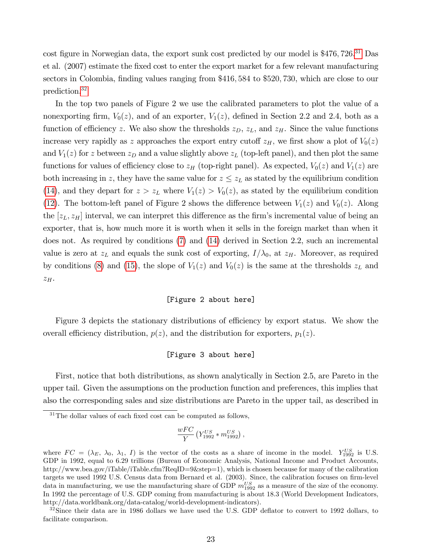cost figure in Norwegian data, the export sunk cost predicted by our model is \$476,726.<sup>[31](#page-22-0)</sup> Das et al. (2007) estimate the Öxed cost to enter the export market for a few relevant manufacturing sectors in Colombia, finding values ranging from \$416, 584 to \$520, 730, which are close to our prediction.[32](#page-22-1)

In the top two panels of Figure 2 we use the calibrated parameters to plot the value of a nonexporting firm,  $V_0(z)$ , and of an exporter,  $V_1(z)$ , defined in Section 2.2 and 2.4, both as a function of efficiency z. We also show the thresholds  $z_D$ ,  $z_L$ , and  $z_H$ . Since the value functions increase very rapidly as z approaches the export entry cutoff  $z_H$ , we first show a plot of  $V_0(z)$ and  $V_1(z)$  for z between  $z_D$  and a value slightly above  $z_L$  (top-left panel), and then plot the same functions for values of efficiency close to  $z_H$  (top-right panel). As expected,  $V_0(z)$  and  $V_1(z)$  are both increasing in z, they have the same value for  $z \leq z_L$  as stated by the equilibrium condition [\(14\)](#page-11-1), and they depart for  $z > z_L$  where  $V_1(z) > V_0(z)$ , as stated by the equilibrium condition [\(12\)](#page-11-4). The bottom-left panel of Figure 2 shows the difference between  $V_1(z)$  and  $V_0(z)$ . Along the  $[z_L, z_H]$  interval, we can interpret this difference as the firm's incremental value of being an exporter, that is, how much more it is worth when it sells in the foreign market than when it does not. As required by conditions [\(7\)](#page-9-1) and [\(14\)](#page-11-1) derived in Section 2.2, such an incremental value is zero at  $z_L$  and equals the sunk cost of exporting,  $I/\lambda_0$ , at  $z_H$ . Moreover, as required by conditions [\(8\)](#page-10-3) and [\(15\)](#page-11-2), the slope of  $V_1(z)$  and  $V_0(z)$  is the same at the thresholds  $z<sub>L</sub>$  and  $z_H$ .

#### [Figure 2 about here]

Figure 3 depicts the stationary distributions of efficiency by export status. We show the overall efficiency distribution,  $p(z)$ , and the distribution for exporters,  $p_1(z)$ .

#### [Figure 3 about here]

First, notice that both distributions, as shown analytically in Section 2.5, are Pareto in the upper tail. Given the assumptions on the production function and preferences, this implies that also the corresponding sales and size distributions are Pareto in the upper tail, as described in

$$
\frac{wFC}{Y} \left( Y_{1992}^{US} * m_{1992}^{US} \right),
$$

<span id="page-22-0"></span> $31$ The dollar values of each fixed cost can be computed as follows,

where  $FC = (\lambda_E, \lambda_0, \lambda_1, I)$  is the vector of the costs as a share of income in the model.  $Y_{1992}^{US}$  is U.S. GDP in 1992, equal to 6:29 trillions (Bureau of Economic Analysis, National Income and Product Accounts, http://www.bea.gov/iTable/iTable.cfm?ReqID=9&step=1), which is chosen because for many of the calibration targets we used 1992 U.S. Census data from Bernard et al. (2003). Since, the calibration focuses on firm-level data in manufacturing, we use the manufacturing share of GDP  $m_{1992}^{US}$  as a measure of the size of the economy. In 1992 the percentage of U.S. GDP coming from manufacturing is about 18:3 (World Development Indicators, http://data.worldbank.org/data-catalog/world-development-indicators).

<span id="page-22-1"></span> $32\$ Since their data are in 1986 dollars we have used the U.S. GDP deflator to convert to 1992 dollars, to facilitate comparison.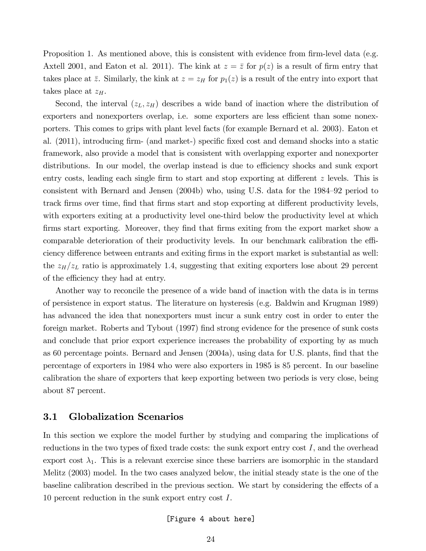Proposition 1. As mentioned above, this is consistent with evidence from firm-level data (e.g. Axtell 2001, and Eaton et al. 2011). The kink at  $z = \overline{z}$  for  $p(z)$  is a result of firm entry that takes place at  $\bar{z}$ . Similarly, the kink at  $z = z_H$  for  $p_1(z)$  is a result of the entry into export that takes place at  $z_H$ .

Second, the interval  $(z_L, z_H)$  describes a wide band of inaction where the distribution of exporters and nonexporters overlap, i.e. some exporters are less efficient than some nonexporters. This comes to grips with plant level facts (for example Bernard et al. 2003). Eaton et al. (2011), introducing firm- (and market-) specific fixed cost and demand shocks into a static framework, also provide a model that is consistent with overlapping exporter and nonexporter distributions. In our model, the overlap instead is due to efficiency shocks and sunk export entry costs, leading each single firm to start and stop exporting at different  $z$  levels. This is consistent with Bernard and Jensen  $(2004b)$  who, using U.S. data for the 1984–92 period to track firms over time, find that firms start and stop exporting at different productivity levels, with exporters exiting at a productivity level one-third below the productivity level at which firms start exporting. Moreover, they find that firms exiting from the export market show a comparable deterioration of their productivity levels. In our benchmark calibration the efficiency difference between entrants and exiting firms in the export market is substantial as well: the  $z_H/z_L$  ratio is approximately 1.4, suggesting that exiting exporters lose about 29 percent of the efficiency they had at entry.

Another way to reconcile the presence of a wide band of inaction with the data is in terms of persistence in export status. The literature on hysteresis (e.g. Baldwin and Krugman 1989) has advanced the idea that nonexporters must incur a sunk entry cost in order to enter the foreign market. Roberts and Tybout (1997) Önd strong evidence for the presence of sunk costs and conclude that prior export experience increases the probability of exporting by as much as 60 percentage points. Bernard and Jensen (2004a), using data for U.S. plants, Önd that the percentage of exporters in 1984 who were also exporters in 1985 is 85 percent. In our baseline calibration the share of exporters that keep exporting between two periods is very close, being about 87 percent.

### 3.1 Globalization Scenarios

In this section we explore the model further by studying and comparing the implications of reductions in the two types of fixed trade costs: the sunk export entry cost  $I$ , and the overhead export cost  $\lambda_1$ . This is a relevant exercise since these barriers are isomorphic in the standard Melitz (2003) model. In the two cases analyzed below, the initial steady state is the one of the baseline calibration described in the previous section. We start by considering the effects of a 10 percent reduction in the sunk export entry cost I.

[Figure 4 about here]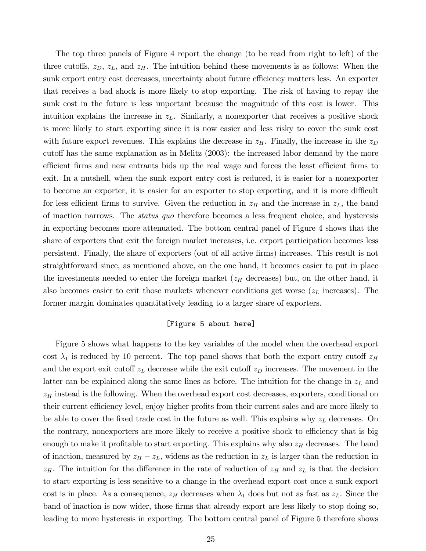The top three panels of Figure 4 report the change (to be read from right to left) of the three cutoffs,  $z_D$ ,  $z_L$ , and  $z_H$ . The intuition behind these movements is as follows: When the sunk export entry cost decreases, uncertainty about future efficiency matters less. An exporter that receives a bad shock is more likely to stop exporting. The risk of having to repay the sunk cost in the future is less important because the magnitude of this cost is lower. This intuition explains the increase in  $z<sub>L</sub>$ . Similarly, a nonexporter that receives a positive shock is more likely to start exporting since it is now easier and less risky to cover the sunk cost with future export revenues. This explains the decrease in  $z_H$ . Finally, the increase in the  $z_D$ cutoff has the same explanation as in Melitz  $(2003)$ : the increased labor demand by the more efficient firms and new entrants bids up the real wage and forces the least efficient firms to exit. In a nutshell, when the sunk export entry cost is reduced, it is easier for a nonexporter to become an exporter, it is easier for an exporter to stop exporting, and it is more difficult for less efficient firms to survive. Given the reduction in  $z_H$  and the increase in  $z_L$ , the band of inaction narrows. The status quo therefore becomes a less frequent choice, and hysteresis in exporting becomes more attenuated. The bottom central panel of Figure 4 shows that the share of exporters that exit the foreign market increases, i.e. export participation becomes less persistent. Finally, the share of exporters (out of all active Örms) increases. This result is not straightforward since, as mentioned above, on the one hand, it becomes easier to put in place the investments needed to enter the foreign market  $(z_H$  decreases) but, on the other hand, it also becomes easier to exit those markets whenever conditions get worse  $(z_L$  increases). The former margin dominates quantitatively leading to a larger share of exporters.

#### [Figure 5 about here]

Figure 5 shows what happens to the key variables of the model when the overhead export cost  $\lambda_1$  is reduced by 10 percent. The top panel shows that both the export entry cutoff  $z_H$ and the export exit cutoff  $z<sub>L</sub>$  decrease while the exit cutoff  $z<sub>D</sub>$  increases. The movement in the latter can be explained along the same lines as before. The intuition for the change in  $z<sub>L</sub>$  and  $z_H$  instead is the following. When the overhead export cost decreases, exporters, conditional on their current efficiency level, enjoy higher profits from their current sales and are more likely to be able to cover the fixed trade cost in the future as well. This explains why  $z<sub>L</sub>$  decreases. On the contrary, nonexporters are more likely to receive a positive shock to efficiency that is big enough to make it profitable to start exporting. This explains why also  $z_H$  decreases. The band of inaction, measured by  $z_H - z_L$ , widens as the reduction in  $z_L$  is larger than the reduction in  $z_H$ . The intuition for the difference in the rate of reduction of  $z_H$  and  $z_L$  is that the decision to start exporting is less sensitive to a change in the overhead export cost once a sunk export cost is in place. As a consequence,  $z_H$  decreases when  $\lambda_1$  does but not as fast as  $z_L$ . Since the band of inaction is now wider, those firms that already export are less likely to stop doing so, leading to more hysteresis in exporting. The bottom central panel of Figure 5 therefore shows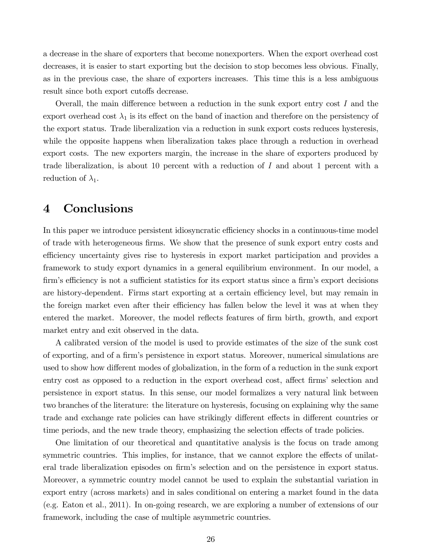a decrease in the share of exporters that become nonexporters. When the export overhead cost decreases, it is easier to start exporting but the decision to stop becomes less obvious. Finally, as in the previous case, the share of exporters increases. This time this is a less ambiguous result since both export cutoffs decrease.

Overall, the main difference between a reduction in the sunk export entry cost I and the export overhead cost  $\lambda_1$  is its effect on the band of inaction and therefore on the persistency of the export status. Trade liberalization via a reduction in sunk export costs reduces hysteresis, while the opposite happens when liberalization takes place through a reduction in overhead export costs. The new exporters margin, the increase in the share of exporters produced by trade liberalization, is about 10 percent with a reduction of I and about 1 percent with a reduction of  $\lambda_1$ .

## 4 Conclusions

In this paper we introduce persistent idiosyncratic efficiency shocks in a continuous-time model of trade with heterogeneous firms. We show that the presence of sunk export entry costs and efficiency uncertainty gives rise to hysteresis in export market participation and provides a framework to study export dynamics in a general equilibrium environment. In our model, a firm's efficiency is not a sufficient statistics for its export status since a firm's export decisions are history-dependent. Firms start exporting at a certain efficiency level, but may remain in the foreign market even after their efficiency has fallen below the level it was at when they entered the market. Moreover, the model reflects features of firm birth, growth, and export market entry and exit observed in the data.

A calibrated version of the model is used to provide estimates of the size of the sunk cost of exporting, and of a firm's persistence in export status. Moreover, numerical simulations are used to show how different modes of globalization, in the form of a reduction in the sunk export entry cost as opposed to a reduction in the export overhead cost, affect firms' selection and persistence in export status. In this sense, our model formalizes a very natural link between two branches of the literature: the literature on hysteresis, focusing on explaining why the same trade and exchange rate policies can have strikingly different effects in different countries or time periods, and the new trade theory, emphasizing the selection effects of trade policies.

One limitation of our theoretical and quantitative analysis is the focus on trade among symmetric countries. This implies, for instance, that we cannot explore the effects of unilateral trade liberalization episodes on firm's selection and on the persistence in export status. Moreover, a symmetric country model cannot be used to explain the substantial variation in export entry (across markets) and in sales conditional on entering a market found in the data (e.g. Eaton et al., 2011). In on-going research, we are exploring a number of extensions of our framework, including the case of multiple asymmetric countries.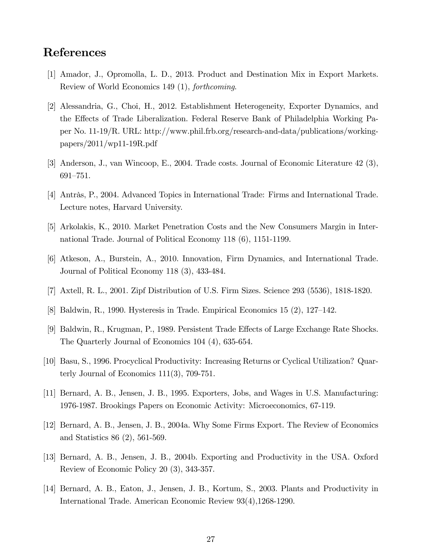## References

- [1] Amador, J., Opromolla, L. D., 2013. Product and Destination Mix in Export Markets. Review of World Economics 149 (1), forthcoming.
- [2] Alessandria, G., Choi, H., 2012. Establishment Heterogeneity, Exporter Dynamics, and the Effects of Trade Liberalization. Federal Reserve Bank of Philadelphia Working Paper No. 11-19/R. URL: http://www.phil.frb.org/research-and-data/publications/workingpapers/2011/wp11-19R.pdf
- [3] Anderson, J., van Wincoop, E., 2004. Trade costs. Journal of Economic Literature 42 (3),  $691 - 751.$
- [4] Antràs, P., 2004. Advanced Topics in International Trade: Firms and International Trade. Lecture notes, Harvard University.
- [5] Arkolakis, K., 2010. Market Penetration Costs and the New Consumers Margin in International Trade. Journal of Political Economy 118 (6), 1151-1199.
- [6] Atkeson, A., Burstein, A., 2010. Innovation, Firm Dynamics, and International Trade. Journal of Political Economy 118 (3), 433-484.
- [7] Axtell, R. L., 2001. Zipf Distribution of U.S. Firm Sizes. Science 293 (5536), 1818-1820.
- [8] Baldwin, R., 1990. Hysteresis in Trade. Empirical Economics 15  $(2)$ , 127–142.
- [9] Baldwin, R., Krugman, P., 1989. Persistent Trade Effects of Large Exchange Rate Shocks. The Quarterly Journal of Economics 104 (4), 635-654.
- [10] Basu, S., 1996. Procyclical Productivity: Increasing Returns or Cyclical Utilization? Quarterly Journal of Economics 111(3), 709-751.
- [11] Bernard, A. B., Jensen, J. B., 1995. Exporters, Jobs, and Wages in U.S. Manufacturing: 1976-1987. Brookings Papers on Economic Activity: Microeconomics, 67-119.
- [12] Bernard, A. B., Jensen, J. B., 2004a. Why Some Firms Export. The Review of Economics and Statistics 86 (2), 561-569.
- [13] Bernard, A. B., Jensen, J. B., 2004b. Exporting and Productivity in the USA. Oxford Review of Economic Policy 20 (3), 343-357.
- [14] Bernard, A. B., Eaton, J., Jensen, J. B., Kortum, S., 2003. Plants and Productivity in International Trade. American Economic Review 93(4),1268-1290.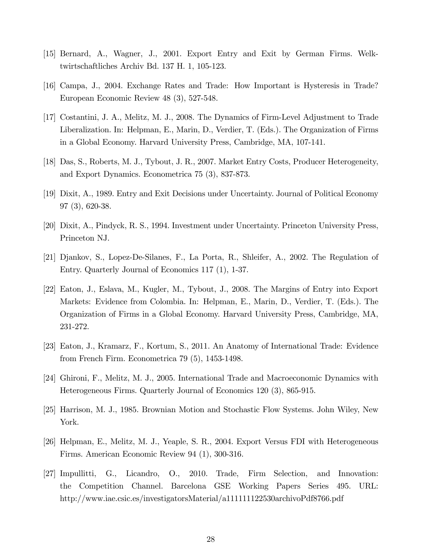- [15] Bernard, A., Wagner, J., 2001. Export Entry and Exit by German Firms. Welktwirtschaftliches Archiv Bd. 137 H. 1, 105-123.
- [16] Campa, J., 2004. Exchange Rates and Trade: How Important is Hysteresis in Trade? European Economic Review 48 (3), 527-548.
- [17] Costantini, J. A., Melitz, M. J., 2008. The Dynamics of Firm-Level Adjustment to Trade Liberalization. In: Helpman, E., Marin, D., Verdier, T. (Eds.). The Organization of Firms in a Global Economy. Harvard University Press, Cambridge, MA, 107-141.
- [18] Das, S., Roberts, M. J., Tybout, J. R., 2007. Market Entry Costs, Producer Heterogeneity, and Export Dynamics. Econometrica 75 (3), 837-873.
- [19] Dixit, A., 1989. Entry and Exit Decisions under Uncertainty. Journal of Political Economy 97 (3), 620-38.
- [20] Dixit, A., Pindyck, R. S., 1994. Investment under Uncertainty. Princeton University Press, Princeton NJ.
- [21] Djankov, S., Lopez-De-Silanes, F., La Porta, R., Shleifer, A., 2002. The Regulation of Entry. Quarterly Journal of Economics 117 (1), 1-37.
- [22] Eaton, J., Eslava, M., Kugler, M., Tybout, J., 2008. The Margins of Entry into Export Markets: Evidence from Colombia. In: Helpman, E., Marin, D., Verdier, T. (Eds.). The Organization of Firms in a Global Economy. Harvard University Press, Cambridge, MA, 231-272.
- [23] Eaton, J., Kramarz, F., Kortum, S., 2011. An Anatomy of International Trade: Evidence from French Firm. Econometrica 79 (5), 1453-1498.
- [24] Ghironi, F., Melitz, M. J., 2005. International Trade and Macroeconomic Dynamics with Heterogeneous Firms. Quarterly Journal of Economics 120 (3), 865-915.
- [25] Harrison, M. J., 1985. Brownian Motion and Stochastic Flow Systems. John Wiley, New York.
- [26] Helpman, E., Melitz, M. J., Yeaple, S. R., 2004. Export Versus FDI with Heterogeneous Firms. American Economic Review 94 (1), 300-316.
- [27] Impullitti, G., Licandro, O., 2010. Trade, Firm Selection, and Innovation: the Competition Channel. Barcelona GSE Working Papers Series 495. URL: http://www.iae.csic.es/investigatorsMaterial/a111111122530archivoPdf8766.pdf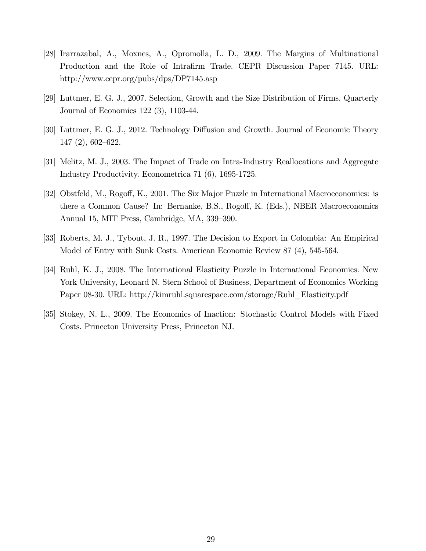- [28] Irarrazabal, A., Moxnes, A., Opromolla, L. D., 2009. The Margins of Multinational Production and the Role of Intrafirm Trade. CEPR Discussion Paper 7145. URL: http://www.cepr.org/pubs/dps/DP7145.asp
- [29] Luttmer, E. G. J., 2007. Selection, Growth and the Size Distribution of Firms. Quarterly Journal of Economics 122 (3), 1103-44.
- [30] Luttmer, E. G. J., 2012. Technology Diffusion and Growth. Journal of Economic Theory 147 (2), 602-622.
- [31] Melitz, M. J., 2003. The Impact of Trade on Intra-Industry Reallocations and Aggregate Industry Productivity. Econometrica 71 (6), 1695-1725.
- [32] Obstfeld, M., Rogoff, K., 2001. The Six Major Puzzle in International Macroeconomics: is there a Common Cause? In: Bernanke, B.S., Rogoff, K. (Eds.), NBER Macroeconomics Annual 15, MIT Press, Cambridge, MA, 339–390.
- [33] Roberts, M. J., Tybout, J. R., 1997. The Decision to Export in Colombia: An Empirical Model of Entry with Sunk Costs. American Economic Review 87 (4), 545-564.
- [34] Ruhl, K. J., 2008. The International Elasticity Puzzle in International Economics. New York University, Leonard N. Stern School of Business, Department of Economics Working Paper 08-30. URL: http://kimruhl.squarespace.com/storage/Ruhl\_Elasticity.pdf
- [35] Stokey, N. L., 2009. The Economics of Inaction: Stochastic Control Models with Fixed Costs. Princeton University Press, Princeton NJ.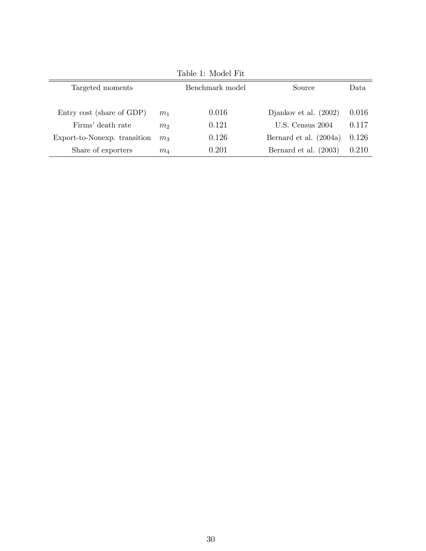| тане т. тилет гъ             |                |                 |                         |       |
|------------------------------|----------------|-----------------|-------------------------|-------|
| Targeted moments             |                | Benchmark model | Source                  | Data  |
| Entry cost (share of GDP)    | $m_1$          | 0.016           | Djankov et al. $(2002)$ | 0.016 |
| Firms' death rate            | m <sub>2</sub> | 0.121           | U.S. Census 2004        | 0.117 |
| Export-to-Nonexp. transition | m <sub>3</sub> | 0.126           | Bernard et al. (2004a)  | 0.126 |
| Share of exporters           | $m_4$          | 0.201           | Bernard et al. (2003)   | 0.210 |

Table 1: Model Fit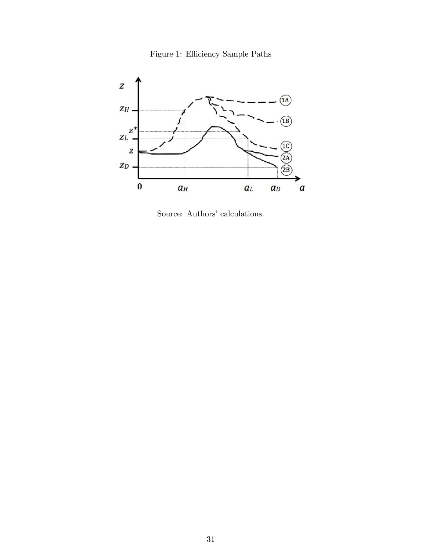



Source: Authors' calculations.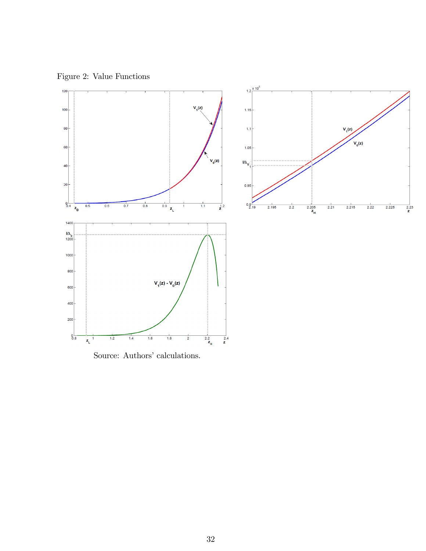Figure 2: Value Functions



Source: Authors' calculations.  $\,$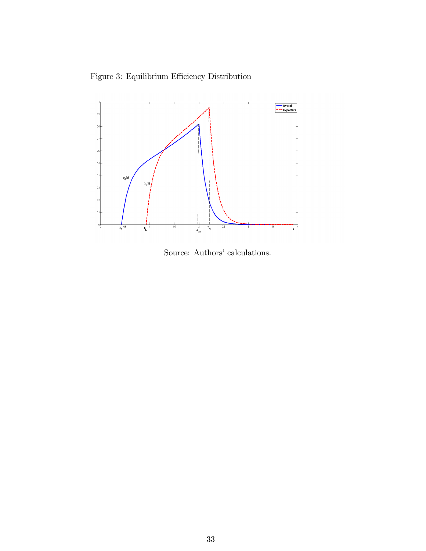Figure 3: Equilibrium Efficiency Distribution

![](_page_32_Figure_1.jpeg)

Source: Authors' calculations.  $% \mathcal{L}_{\mathcal{A}}\left( \mathcal{A}\right)$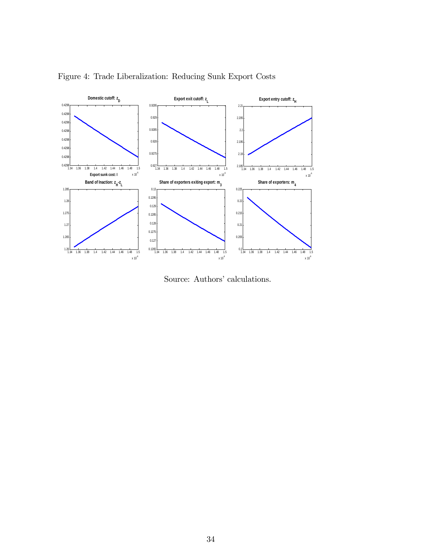![](_page_33_Figure_0.jpeg)

Figure 4: Trade Liberalization: Reducing Sunk Export Costs

Source: Authors' calculations.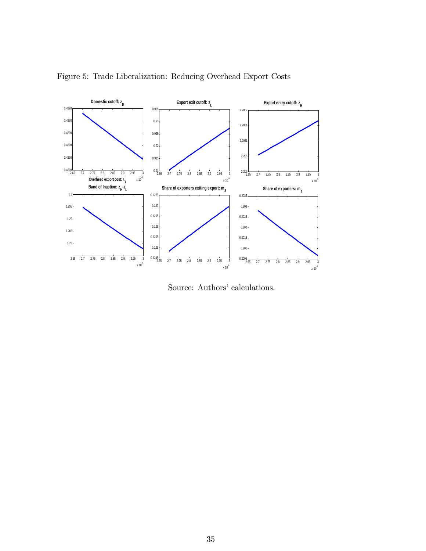![](_page_34_Figure_0.jpeg)

Figure 5: Trade Liberalization: Reducing Overhead Export Costs

Source: Authors' calculations.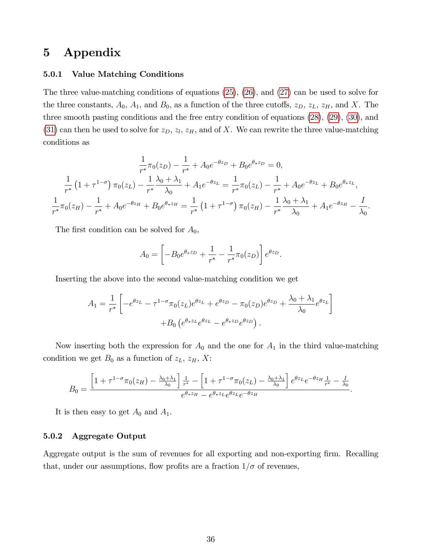## 5 Appendix

#### 5.0.1 Value Matching Conditions

The three value-matching conditions of equations [\(25\)](#page-14-1), [\(26\)](#page-14-1), and [\(27\)](#page-14-1) can be used to solve for the three constants,  $A_0$ ,  $A_1$ , and  $B_0$ , as a function of the three cutoffs,  $z_D$ ,  $z_L$ ,  $z_H$ , and X. The three smooth pasting conditions and the free entry condition of equations [\(28\)](#page-15-2), [\(29\)](#page-15-4), [\(30\)](#page-15-5), and [\(31\)](#page-15-3) can then be used to solve for  $z_D, z_l, z_H$ , and of X. We can rewrite the three value-matching conditions as

$$
\frac{1}{r^*} \pi_0(z_D) - \frac{1}{r^*} + A_0 e^{-\theta z_D} + B_0 e^{\theta * z_D} = 0,
$$
\n
$$
\frac{1}{r^*} \left(1 + \tau^{1-\sigma}\right) \pi_0(z_L) - \frac{1}{r^*} \frac{\lambda_0 + \lambda_1}{\lambda_0} + A_1 e^{-\theta z_L} = \frac{1}{r^*} \pi_0(z_L) - \frac{1}{r^*} + A_0 e^{-\theta z_L} + B_0 e^{\theta * z_L},
$$
\n
$$
\frac{1}{r^*} \pi_0(z_H) - \frac{1}{r^*} + A_0 e^{-\theta z_H} + B_0 e^{\theta * z_H} = \frac{1}{r^*} \left(1 + \tau^{1-\sigma}\right) \pi_0(z_H) - \frac{1}{r^*} \frac{\lambda_0 + \lambda_1}{\lambda_0} + A_1 e^{-\theta z_H} - \frac{I}{\lambda_0}.
$$

The first condition can be solved for  $A_0$ ,

$$
A_0 = \left[ -B_0 e^{\theta_* z_D} + \frac{1}{r^*} - \frac{1}{r^*} \pi_0(z_D) \right] e^{\theta z_D}.
$$

Inserting the above into the second value-matching condition we get

$$
A_1 = \frac{1}{r^*} \left[ -e^{\theta z_L} - \tau^{1-\sigma} \pi_0(z_L) e^{\theta z_L} + e^{\theta z_D} - \pi_0(z_D) e^{\theta z_D} + \frac{\lambda_0 + \lambda_1}{\lambda_0} e^{\theta z_L} \right] + B_0 \left( e^{\theta * z_L} e^{\theta z_L} - e^{\theta * z_D} e^{\theta z_D} \right).
$$

Now inserting both the expression for  $A_0$  and the one for  $A_1$  in the third value-matching condition we get  $B_0$  as a function of  $z_L$ ,  $z_H$ , X:

$$
B_0 = \frac{\left[1 + \tau^{1-\sigma}\pi_0(z_H) - \frac{\lambda_0 + \lambda_1}{\lambda_0}\right] \frac{1}{r^*} - \left[1 + \tau^{1-\sigma}\pi_0(z_L) - \frac{\lambda_0 + \lambda_1}{\lambda_0}\right] e^{\theta z_L} e^{-\theta z_H} \frac{1}{r^*} - \frac{I}{\lambda_0}}{e^{\theta z_H} - e^{\theta z_L} e^{\theta z_L} e^{-\theta z_H}}.
$$

It is then easy to get  $A_0$  and  $A_1$ .

#### 5.0.2 Aggregate Output

Aggregate output is the sum of revenues for all exporting and non-exporting firm. Recalling that, under our assumptions, flow profits are a fraction  $1/\sigma$  of revenues,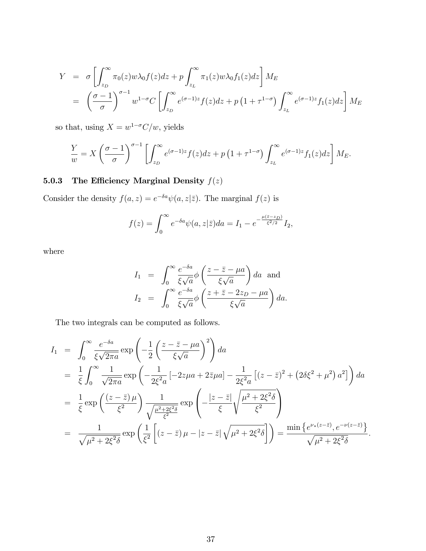$$
Y = \sigma \left[ \int_{z_D}^{\infty} \pi_0(z) w \lambda_0 f(z) dz + p \int_{z_L}^{\infty} \pi_1(z) w \lambda_0 f_1(z) dz \right] M_E
$$
  
=  $\left( \frac{\sigma - 1}{\sigma} \right)^{\sigma - 1} w^{1 - \sigma} C \left[ \int_{z_D}^{\infty} e^{(\sigma - 1)z} f(z) dz + p \left( 1 + \tau^{1 - \sigma} \right) \int_{z_L}^{\infty} e^{(\sigma - 1)z} f_1(z) dz \right] M_E$ 

so that, using  $X = w^{1-\sigma}C/w$ , yields

$$
\frac{Y}{w} = X \left(\frac{\sigma - 1}{\sigma}\right)^{\sigma - 1} \left[ \int_{z_D}^{\infty} e^{(\sigma - 1)z} f(z) dz + p \left(1 + \tau^{1 - \sigma}\right) \int_{z_L}^{\infty} e^{(\sigma - 1)z} f_1(z) dz \right] M_E.
$$

## 5.0.3 The Efficiency Marginal Density  $f(z)$

Consider the density  $f(a, z) = e^{-\delta a}\psi(a, z|\overline{z})$ . The marginal  $f(z)$  is

$$
f(z) = \int_0^\infty e^{-\delta a} \psi(a, z|\bar{z}) da = I_1 - e^{-\frac{\mu(\bar{z} - z_D)}{\xi^2/2}} I_2,
$$

where

$$
I_1 = \int_0^\infty \frac{e^{-\delta a}}{\xi \sqrt{a}} \phi \left( \frac{z - \bar{z} - \mu a}{\xi \sqrt{a}} \right) da \text{ and}
$$

$$
I_2 = \int_0^\infty \frac{e^{-\delta a}}{\xi \sqrt{a}} \phi \left( \frac{z + \bar{z} - 2z_D - \mu a}{\xi \sqrt{a}} \right) da.
$$

The two integrals can be computed as follows.

$$
I_1 = \int_0^\infty \frac{e^{-\delta a}}{\xi \sqrt{2\pi a}} \exp\left(-\frac{1}{2} \left(\frac{z-\bar{z}-\mu a}{\xi \sqrt{a}}\right)^2\right) da
$$
  
\n
$$
= \frac{1}{\xi} \int_0^\infty \frac{1}{\sqrt{2\pi a}} \exp\left(-\frac{1}{2\xi^2 a} \left[-2z\mu a + 2\bar{z}\mu a\right] - \frac{1}{2\xi^2 a} \left[\left(z-\bar{z}\right)^2 + \left(2\delta\xi^2 + \mu^2\right)a^2\right]\right) da
$$
  
\n
$$
= \frac{1}{\xi} \exp\left(\frac{(z-\bar{z})\mu}{\xi^2}\right) \frac{1}{\sqrt{\frac{\mu^2+2\xi^2\delta}{\xi^2}}} \exp\left(-\frac{|z-\bar{z}|}{\xi} \sqrt{\frac{\mu^2+2\xi^2\delta}{\xi^2}}\right)
$$
  
\n
$$
= \frac{1}{\sqrt{\mu^2+2\xi^2\delta}} \exp\left(\frac{1}{\xi^2} \left[\left(z-\bar{z}\right)\mu - |z-\bar{z}| \sqrt{\mu^2+2\xi^2\delta}\right]\right) = \frac{\min\left\{e^{\nu_*(z-\bar{z})}, e^{-\nu(z-\bar{z})}\right\}}{\sqrt{\mu^2+2\xi^2\delta}}.
$$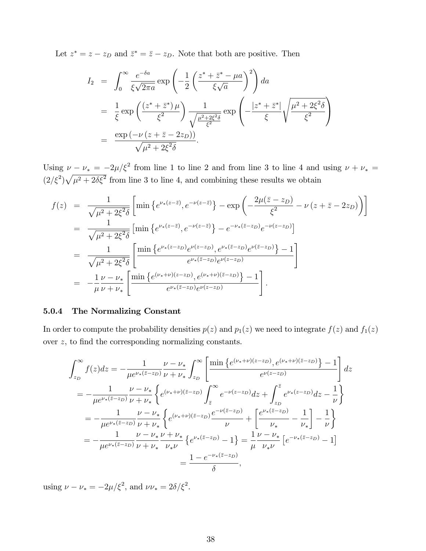Let  $z^* = z - z_D$  and  $\bar{z}^* = \bar{z} - z_D$ . Note that both are positive. Then

$$
I_2 = \int_0^\infty \frac{e^{-\delta a}}{\xi \sqrt{2\pi a}} \exp\left(-\frac{1}{2} \left(\frac{z^* + \bar{z}^* - \mu a}{\xi \sqrt{a}}\right)^2\right) da
$$
  
\n
$$
= \frac{1}{\xi} \exp\left(\frac{(z^* + \bar{z}^*)\mu}{\xi^2}\right) \frac{1}{\sqrt{\frac{\mu^2 + 2\xi^2 \delta}{\xi^2}}} \exp\left(-\frac{|z^* + \bar{z}^*|}{\xi}\sqrt{\frac{\mu^2 + 2\xi^2 \delta}{\xi^2}}\right)
$$
  
\n
$$
= \frac{\exp\left(-\nu \left(z + \bar{z} - 2z_D\right)\right)}{\sqrt{\mu^2 + 2\xi^2 \delta}}.
$$

Using  $\nu - \nu_* = -2\mu/\xi^2$  from line 1 to line 2 and from line 3 to line 4 and using  $\nu + \nu_* =$  $(2/\xi^2)\sqrt{\mu^2+2\delta\xi^2}$  from line 3 to line 4, and combining these results we obtain

$$
f(z) = \frac{1}{\sqrt{\mu^2 + 2\xi^2 \delta}} \left[ \min \left\{ e^{\nu_*(z-\bar{z})}, e^{-\nu(z-\bar{z})} \right\} - \exp \left( -\frac{2\mu(\bar{z} - z_D)}{\xi^2} - \nu (z + \bar{z} - 2z_D) \right) \right]
$$
  
\n
$$
= \frac{1}{\sqrt{\mu^2 + 2\xi^2 \delta}} \left[ \min \left\{ e^{\nu_*(z-\bar{z})}, e^{-\nu(z-\bar{z})} \right\} - e^{-\nu_*(\bar{z}-z_D)} e^{-\nu(z-z_D)} \right]
$$
  
\n
$$
= \frac{1}{\sqrt{\mu^2 + 2\xi^2 \delta}} \left[ \frac{\min \left\{ e^{\nu_*(z-z_D)} e^{\nu(z-z_D)}, e^{\nu_*(\bar{z}-z_D)} e^{\nu(\bar{z}-z_D)} \right\} - 1}{e^{\nu_*(\bar{z}-z_D)} e^{\nu(z-z_D)}} \right]
$$
  
\n
$$
= -\frac{1}{\mu} \frac{\nu - \nu_*}{\nu + \nu_*} \left[ \frac{\min \left\{ e^{(\nu_*+\nu)(z-z_D)}, e^{(\nu_*+\nu)(\bar{z}-z_D)} \right\} - 1}{e^{\nu_*(\bar{z}-z_D)} e^{\nu(z-z_D)}} \right].
$$

#### 5.0.4 The Normalizing Constant

In order to compute the probability densities  $p(z)$  and  $p_1(z)$  we need to integrate  $f(z)$  and  $f_1(z)$ over  $z$ , to find the corresponding normalizing constants.

$$
\int_{z_D}^{\infty} f(z)dz = -\frac{1}{\mu e^{\nu_*(\bar{z}-z_D)}} \frac{\nu - \nu_*}{\nu + \nu_*} \int_{z_D}^{\infty} \left[ \frac{\min \left\{ e^{(\nu_*+\nu)(z-z_D)}, e^{(\nu_*+\nu)(\bar{z}-z_D)} \right\} - 1}{e^{\nu(z-z_D)}} \right] dz
$$
  
\n
$$
= -\frac{1}{\mu e^{\nu_*(\bar{z}-z_D)}} \frac{\nu - \nu_*}{\nu + \nu_*} \left\{ e^{(\nu_*+\nu)(\bar{z}-z_D)} \int_{\bar{z}}^{\infty} e^{-\nu(z-z_D)} dz + \int_{z_D}^{\bar{z}} e^{\nu_*(z-z_D)} dz - \frac{1}{\nu} \right\}
$$
  
\n
$$
= -\frac{1}{\mu e^{\nu_*(\bar{z}-z_D)}} \frac{\nu - \nu_*}{\nu + \nu_*} \left\{ e^{(\nu_*+\nu)(\bar{z}-z_D)} \frac{e^{-\nu(\bar{z}-z_D)}}{\nu} + \left[ \frac{e^{\nu_*(\bar{z}-z_D)}}{\nu_*} - \frac{1}{\nu_*} \right] - \frac{1}{\nu} \right\}
$$
  
\n
$$
= -\frac{1}{\mu e^{\nu_*(\bar{z}-z_D)}} \frac{\nu - \nu_*}{\nu + \nu_*} \frac{\nu + \nu_*}{\nu_* \nu} \left\{ e^{\nu_*(\bar{z}-z_D)} - 1 \right\} = \frac{1}{\mu} \frac{\nu - \nu_*}{\nu_* \nu} \left[ e^{-\nu_*(\bar{z}-z_D)} - 1 \right]
$$
  
\n
$$
= \frac{1 - e^{-\nu_*(\bar{z}-z_D)}}{\delta},
$$

using  $\nu - \nu_* = -2\mu/\xi^2$ , and  $\nu\nu_* = 2\delta/\xi^2$ .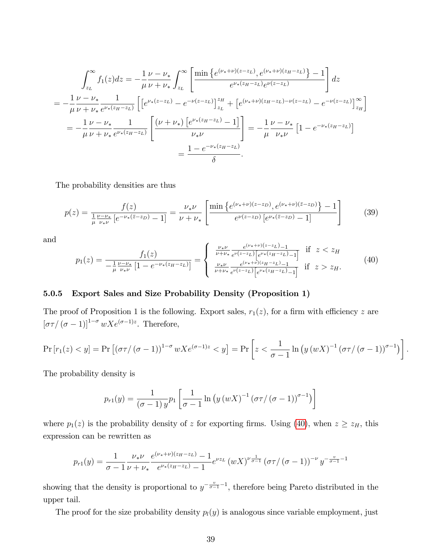$$
\int_{z_L}^{\infty} f_1(z)dz = -\frac{1}{\mu} \frac{\nu - \nu_*}{\nu + \nu_*} \int_{z_L}^{\infty} \left[ \frac{\min \left\{ e^{(\nu_* + \nu)(z - z_L)}, e^{(\nu_* + \nu)(z_H - z_L)} \right\} - 1}{e^{\nu_* (z_H - z_L)} e^{\nu(z - z_L)}} \right] dz
$$
\n
$$
= -\frac{1}{\mu} \frac{\nu - \nu_*}{\nu + \nu_*} \frac{1}{e^{\nu_* (z_H - z_L)}} \left[ \left[ e^{\nu_* (z - z_L)} - e^{-\nu(z - z_L)} \right]_{z_L}^{z_H} + \left[ e^{(\nu_* + \nu)(z_H - z_L) - \nu(z - z_L)} - e^{-\nu(z - z_L)} \right]_{z_H}^{\infty} \right]
$$
\n
$$
= -\frac{1}{\mu} \frac{\nu - \nu_*}{\nu + \nu_*} \frac{1}{e^{\nu_* (z_H - z_L)}} \left[ \frac{(\nu + \nu_*) \left[ e^{\nu_* (z_H - z_L)} - 1 \right]}{\nu_* \nu} \right] = -\frac{1}{\mu} \frac{\nu - \nu_*}{\nu_* \nu} \left[ 1 - e^{-\nu_* (z_H - z_L)} \right]
$$
\n
$$
= \frac{1 - e^{-\nu_* (z_H - z_L)}}{\delta}.
$$

The probability densities are thus

<span id="page-38-1"></span>
$$
p(z) = \frac{f(z)}{\frac{1}{\mu} \frac{\nu - \nu_*}{\nu_* \nu} \left[e^{-\nu_* (\bar{z} - z_D)} - 1\right]} = \frac{\nu_* \nu}{\nu + \nu_*} \left[ \frac{\min \left\{ e^{(\nu_* + \nu)(z - z_D)}, e^{(\nu_* + \nu)(\bar{z} - z_D)} \right\} - 1}{e^{\nu(z - z_D)} \left[ e^{\nu_* (\bar{z} - z_D)} - 1 \right]} \right] \tag{39}
$$

and

<span id="page-38-0"></span>
$$
p_1(z) = \frac{f_1(z)}{-\frac{1}{\mu} \frac{\nu - \nu_*}{\nu_* \nu} \left[1 - e^{-\nu_* (z_H - z_L)}\right]} = \begin{cases} \frac{\nu_* \nu}{\nu + \nu_*} \frac{e^{(\nu_* + \nu)(z - z_L)} - 1}{e^{\nu_* (z - z_L)} \left[e^{\nu_* (z_H - z_L)} - 1\right]} & \text{if } z < z_H\\ \frac{\nu_* \nu}{\nu + \nu_*} \frac{e^{(\nu_* + \nu)(z_H - z_L)} - 1}{e^{\nu_* (z - z_L)} \left[e^{\nu_* (z_H - z_L)} - 1\right]} & \text{if } z > z_H. \end{cases} \tag{40}
$$

#### 5.0.5 Export Sales and Size Probability Density (Proposition 1)

The proof of Proposition 1 is the following. Export sales,  $r_1(z)$ , for a firm with efficiency z are  $[\sigma \tau / (\sigma - 1)]^{1-\sigma} wXe^{(\sigma - 1)z}$ . Therefore,

$$
\Pr\left[r_1(z) < y\right] = \Pr\left[\left(\sigma\tau/\left(\sigma-1\right)\right)^{1-\sigma}wXe^{(\sigma-1)z} < y\right] = \Pr\left[z < \frac{1}{\sigma-1}\ln\left(y\left(wX\right)^{-1}\left(\sigma\tau/\left(\sigma-1\right)\right)^{\sigma-1}\right)\right].
$$

The probability density is

$$
p_{r1}(y) = \frac{1}{(\sigma - 1) y} p_1 \left[ \frac{1}{\sigma - 1} \ln \left( y \left( w X \right)^{-1} \left( \sigma \tau / (\sigma - 1) \right)^{\sigma - 1} \right) \right]
$$

where  $p_1(z)$  is the probability density of z for exporting firms. Using [\(40\)](#page-38-0), when  $z \ge z_H$ , this expression can be rewritten as

$$
p_{r1}(y) = \frac{1}{\sigma - 1} \frac{\nu_* \nu}{\nu + \nu_*} \frac{e^{(\nu_* + \nu)(z_H - z_L)} - 1}{e^{\nu_* (z_H - z_L)} - 1} e^{\nu z_L} (wX)^{\nu \frac{1}{\sigma - 1}} (\sigma \tau / (\sigma - 1))^{-\nu} y^{-\frac{\nu}{\sigma - 1} - 1}
$$

showing that the density is proportional to  $y^{-\frac{v}{\sigma-1}-1}$ , therefore being Pareto distributed in the upper tail.

The proof for the size probability density  $p_l(y)$  is analogous since variable employment, just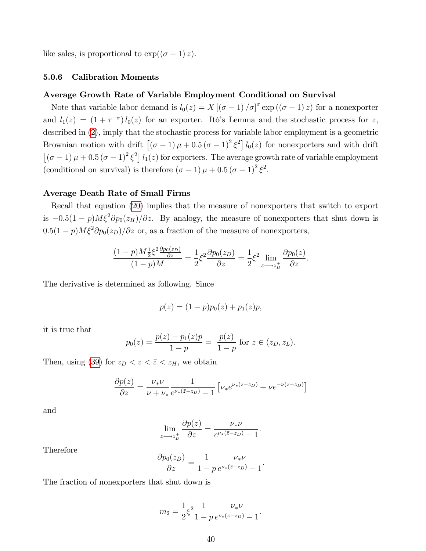like sales, is proportional to  $\exp((\sigma - 1) z)$ .

#### 5.0.6 Calibration Moments

#### Average Growth Rate of Variable Employment Conditional on Survival

Note that variable labor demand is  $l_0(z) = X[(\sigma - 1)/\sigma]^{\sigma} \exp((\sigma - 1) z)$  for a nonexporter and  $l_1(z) = (1 + \tau^{-\sigma}) l_0(z)$  for an exporter. Itô's Lemma and the stochastic process for z, described in [\(2\)](#page-6-0), imply that the stochastic process for variable labor employment is a geometric Brownian motion with drift  $[(\sigma - 1)\mu + 0.5(\sigma - 1)^2 \xi^2] l_0(z)$  for nonexporters and with drift  $[(\sigma - 1)\mu + 0.5(\sigma - 1)^2 \xi^2] l_1(z)$  for exporters. The average growth rate of variable employment (conditional on survival) is therefore  $(\sigma - 1) \mu + 0.5 (\sigma - 1)^2 \xi^2$ .

#### Average Death Rate of Small Firms

Recall that equation [\(20\)](#page-12-5) implies that the measure of nonexporters that switch to export is  $-0.5(1-p)M\xi^2\partial p_0(z_H)/\partial z$ . By analogy, the measure of nonexporters that shut down is  $0.5(1-p)M\xi^2\partial p_0(z_D)/\partial z$  or, as a fraction of the measure of nonexporters,

$$
\frac{(1-p)M\frac{1}{2}\xi^2\frac{\partial p_0(z_D)}{\partial z}}{(1-p)M} = \frac{1}{2}\xi^2\frac{\partial p_0(z_D)}{\partial z} = \frac{1}{2}\xi^2 \lim_{z \to z_D^+} \frac{\partial p_0(z)}{\partial z}.
$$

The derivative is determined as following. Since

$$
p(z) = (1 - p)p_0(z) + p_1(z)p,
$$

it is true that

$$
p_0(z) = \frac{p(z) - p_1(z)p}{1 - p} = \frac{p(z)}{1 - p} \text{ for } z \in (z_D, z_L).
$$

Then, using [\(39\)](#page-38-1) for  $z_D < z < \overline{z} < z_H$ , we obtain

$$
\frac{\partial p(z)}{\partial z} = \frac{\nu_* \nu}{\nu + \nu_*} \frac{1}{e^{\nu_* (z - z_D)} - 1} \left[ \nu_* e^{\nu_* (z - z_D)} + \nu e^{-\nu (z - z_D)} \right]
$$

and

$$
\lim_{z \to z_D^+} \frac{\partial p(z)}{\partial z} = \frac{\nu_* \nu}{e^{\nu_* (\bar{z} - z_D)} - 1}.
$$

Therefore

$$
\frac{\partial p_0(z_D)}{\partial z} = \frac{1}{1 - p} \frac{\nu_* \nu}{e^{\nu_* (\bar{z} - z_D)} - 1}.
$$

The fraction of nonexporters that shut down is

$$
m_2 = \frac{1}{2} \xi^2 \frac{1}{1 - p} \frac{\nu_* \nu}{e^{\nu_* (\bar{z} - z_D)} - 1}.
$$